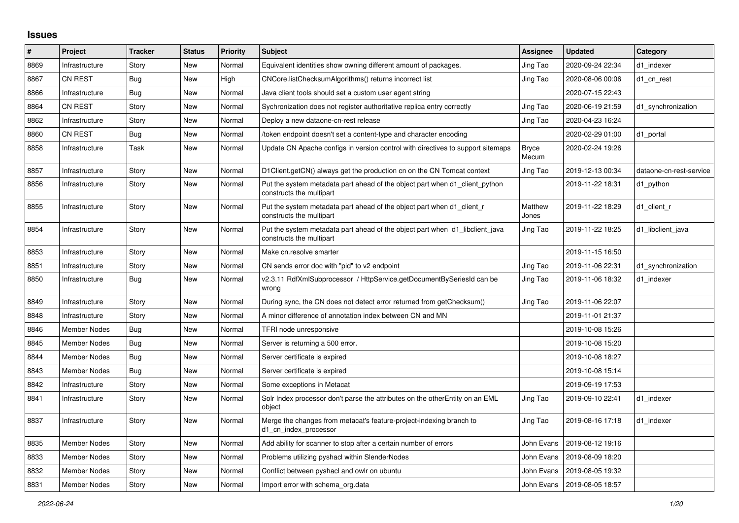## **Issues**

| $\pmb{\#}$ | Project             | <b>Tracker</b> | <b>Status</b> | <b>Priority</b> | <b>Subject</b>                                                                                           | Assignee              | <b>Updated</b>                | Category                |
|------------|---------------------|----------------|---------------|-----------------|----------------------------------------------------------------------------------------------------------|-----------------------|-------------------------------|-------------------------|
| 8869       | Infrastructure      | Story          | <b>New</b>    | Normal          | Equivalent identities show owning different amount of packages.                                          | Jing Tao              | 2020-09-24 22:34              | d1 indexer              |
| 8867       | CN REST             | Bug            | New           | High            | CNCore.listChecksumAlgorithms() returns incorrect list                                                   | Jing Tao              | 2020-08-06 00:06              | d1 cn rest              |
| 8866       | Infrastructure      | Bug            | New           | Normal          | Java client tools should set a custom user agent string                                                  |                       | 2020-07-15 22:43              |                         |
| 8864       | CN REST             | Story          | <b>New</b>    | Normal          | Sychronization does not register authoritative replica entry correctly                                   | Jing Tao              | 2020-06-19 21:59              | d1_synchronization      |
| 8862       | Infrastructure      | Story          | <b>New</b>    | Normal          | Deploy a new dataone-cn-rest release                                                                     | Jing Tao              | 2020-04-23 16:24              |                         |
| 8860       | CN REST             | <b>Bug</b>     | New           | Normal          | /token endpoint doesn't set a content-type and character encoding                                        |                       | 2020-02-29 01:00              | d1 portal               |
| 8858       | Infrastructure      | Task           | New           | Normal          | Update CN Apache configs in version control with directives to support sitemaps                          | <b>Bryce</b><br>Mecum | 2020-02-24 19:26              |                         |
| 8857       | Infrastructure      | Story          | <b>New</b>    | Normal          | D1Client.getCN() always get the production cn on the CN Tomcat context                                   | Jing Tao              | 2019-12-13 00:34              | dataone-cn-rest-service |
| 8856       | Infrastructure      | Story          | New           | Normal          | Put the system metadata part ahead of the object part when d1 client python<br>constructs the multipart  |                       | 2019-11-22 18:31              | d1 python               |
| 8855       | Infrastructure      | Story          | <b>New</b>    | Normal          | Put the system metadata part ahead of the object part when d1 client r<br>constructs the multipart       | Matthew<br>Jones      | 2019-11-22 18:29              | d1 client r             |
| 8854       | Infrastructure      | Story          | New           | Normal          | Put the system metadata part ahead of the object part when d1_libclient_java<br>constructs the multipart | Jing Tao              | 2019-11-22 18:25              | d1 libclient java       |
| 8853       | Infrastructure      | Story          | New           | Normal          | Make cn.resolve smarter                                                                                  |                       | 2019-11-15 16:50              |                         |
| 8851       | Infrastructure      | Story          | New           | Normal          | CN sends error doc with "pid" to v2 endpoint                                                             | Jing Tao              | 2019-11-06 22:31              | d1_synchronization      |
| 8850       | Infrastructure      | <b>Bug</b>     | <b>New</b>    | Normal          | v2.3.11 RdfXmlSubprocessor / HttpService.getDocumentBySeriesId can be<br>wrong                           | Jing Tao              | 2019-11-06 18:32              | d1 indexer              |
| 8849       | Infrastructure      | Story          | <b>New</b>    | Normal          | During sync, the CN does not detect error returned from getChecksum()                                    | Jing Tao              | 2019-11-06 22:07              |                         |
| 8848       | Infrastructure      | Story          | New           | Normal          | A minor difference of annotation index between CN and MN                                                 |                       | 2019-11-01 21:37              |                         |
| 8846       | <b>Member Nodes</b> | <b>Bug</b>     | <b>New</b>    | Normal          | TFRI node unresponsive                                                                                   |                       | 2019-10-08 15:26              |                         |
| 8845       | Member Nodes        | Bug            | New           | Normal          | Server is returning a 500 error.                                                                         |                       | 2019-10-08 15:20              |                         |
| 8844       | <b>Member Nodes</b> | Bug            | New           | Normal          | Server certificate is expired                                                                            |                       | 2019-10-08 18:27              |                         |
| 8843       | Member Nodes        | Bug            | New           | Normal          | Server certificate is expired                                                                            |                       | 2019-10-08 15:14              |                         |
| 8842       | Infrastructure      | Story          | New           | Normal          | Some exceptions in Metacat                                                                               |                       | 2019-09-19 17:53              |                         |
| 8841       | Infrastructure      | Story          | <b>New</b>    | Normal          | Solr Index processor don't parse the attributes on the otherEntity on an EML<br>object                   | Jing Tao              | 2019-09-10 22:41              | d1 indexer              |
| 8837       | Infrastructure      | Story          | New           | Normal          | Merge the changes from metacat's feature-project-indexing branch to<br>d1 cn index processor             | Jing Tao              | 2019-08-16 17:18              | d1 indexer              |
| 8835       | Member Nodes        | Story          | New           | Normal          | Add ability for scanner to stop after a certain number of errors                                         | John Evans            | 2019-08-12 19:16              |                         |
| 8833       | Member Nodes        | Story          | <b>New</b>    | Normal          | Problems utilizing pyshacl within SlenderNodes                                                           | John Evans            | 2019-08-09 18:20              |                         |
| 8832       | <b>Member Nodes</b> | Story          | New           | Normal          | Conflict between pyshacl and owlr on ubuntu                                                              | John Evans            | 2019-08-05 19:32              |                         |
| 8831       | <b>Member Nodes</b> | Story          | <b>New</b>    | Normal          | Import error with schema org.data                                                                        |                       | John Evans   2019-08-05 18:57 |                         |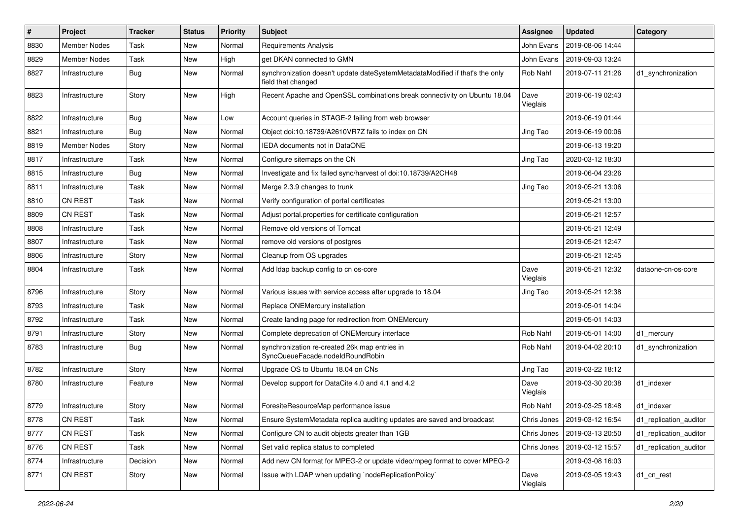| $\pmb{\#}$ | Project             | <b>Tracker</b> | <b>Status</b> | <b>Priority</b> | Subject                                                                                            | <b>Assignee</b>  | <b>Updated</b>   | Category               |
|------------|---------------------|----------------|---------------|-----------------|----------------------------------------------------------------------------------------------------|------------------|------------------|------------------------|
| 8830       | <b>Member Nodes</b> | Task           | New           | Normal          | Requirements Analysis                                                                              | John Evans       | 2019-08-06 14:44 |                        |
| 8829       | <b>Member Nodes</b> | Task           | New           | High            | get DKAN connected to GMN                                                                          | John Evans       | 2019-09-03 13:24 |                        |
| 8827       | Infrastructure      | <b>Bug</b>     | New           | Normal          | synchronization doesn't update dateSystemMetadataModified if that's the only<br>field that changed | Rob Nahf         | 2019-07-11 21:26 | d1_synchronization     |
| 8823       | Infrastructure      | Story          | New           | High            | Recent Apache and OpenSSL combinations break connectivity on Ubuntu 18.04                          | Dave<br>Vieglais | 2019-06-19 02:43 |                        |
| 8822       | Infrastructure      | Bug            | New           | Low             | Account queries in STAGE-2 failing from web browser                                                |                  | 2019-06-19 01:44 |                        |
| 8821       | Infrastructure      | Bug            | New           | Normal          | Object doi:10.18739/A2610VR7Z fails to index on CN                                                 | Jing Tao         | 2019-06-19 00:06 |                        |
| 8819       | <b>Member Nodes</b> | Story          | New           | Normal          | IEDA documents not in DataONE                                                                      |                  | 2019-06-13 19:20 |                        |
| 8817       | Infrastructure      | Task           | New           | Normal          | Configure sitemaps on the CN                                                                       | Jing Tao         | 2020-03-12 18:30 |                        |
| 8815       | Infrastructure      | Bug            | New           | Normal          | Investigate and fix failed sync/harvest of doi:10.18739/A2CH48                                     |                  | 2019-06-04 23:26 |                        |
| 8811       | Infrastructure      | Task           | New           | Normal          | Merge 2.3.9 changes to trunk                                                                       | Jing Tao         | 2019-05-21 13:06 |                        |
| 8810       | <b>CN REST</b>      | Task           | New           | Normal          | Verify configuration of portal certificates                                                        |                  | 2019-05-21 13:00 |                        |
| 8809       | <b>CN REST</b>      | Task           | New           | Normal          | Adjust portal properties for certificate configuration                                             |                  | 2019-05-21 12:57 |                        |
| 8808       | Infrastructure      | Task           | New           | Normal          | Remove old versions of Tomcat                                                                      |                  | 2019-05-21 12:49 |                        |
| 8807       | Infrastructure      | Task           | New           | Normal          | remove old versions of postgres                                                                    |                  | 2019-05-21 12:47 |                        |
| 8806       | Infrastructure      | Story          | New           | Normal          | Cleanup from OS upgrades                                                                           |                  | 2019-05-21 12:45 |                        |
| 8804       | Infrastructure      | Task           | New           | Normal          | Add Idap backup config to cn os-core                                                               | Dave<br>Vieglais | 2019-05-21 12:32 | dataone-cn-os-core     |
| 8796       | Infrastructure      | Story          | New           | Normal          | Various issues with service access after upgrade to 18.04                                          | Jing Tao         | 2019-05-21 12:38 |                        |
| 8793       | Infrastructure      | Task           | New           | Normal          | Replace ONEMercury installation                                                                    |                  | 2019-05-01 14:04 |                        |
| 8792       | Infrastructure      | <b>Task</b>    | New           | Normal          | Create landing page for redirection from ONEMercury                                                |                  | 2019-05-01 14:03 |                        |
| 8791       | Infrastructure      | Story          | New           | Normal          | Complete deprecation of ONEMercury interface                                                       | Rob Nahf         | 2019-05-01 14:00 | d1_mercury             |
| 8783       | Infrastructure      | Bug            | New           | Normal          | synchronization re-created 26k map entries in<br>SyncQueueFacade.nodeIdRoundRobin                  | Rob Nahf         | 2019-04-02 20:10 | d1_synchronization     |
| 8782       | Infrastructure      | Story          | New           | Normal          | Upgrade OS to Ubuntu 18.04 on CNs                                                                  | Jing Tao         | 2019-03-22 18:12 |                        |
| 8780       | Infrastructure      | Feature        | New           | Normal          | Develop support for DataCite 4.0 and 4.1 and 4.2                                                   | Dave<br>Vieglais | 2019-03-30 20:38 | d1_indexer             |
| 8779       | Infrastructure      | Story          | New           | Normal          | ForesiteResourceMap performance issue                                                              | Rob Nahf         | 2019-03-25 18:48 | d1 indexer             |
| 8778       | CN REST             | Task           | New           | Normal          | Ensure SystemMetadata replica auditing updates are saved and broadcast                             | Chris Jones      | 2019-03-12 16:54 | d1_replication_auditor |
| 8777       | CN REST             | Task           | New           | Normal          | Configure CN to audit objects greater than 1GB                                                     | Chris Jones      | 2019-03-13 20:50 | d1_replication_auditor |
| 8776       | CN REST             | Task           | New           | Normal          | Set valid replica status to completed                                                              | Chris Jones      | 2019-03-12 15:57 | d1_replication_auditor |
| 8774       | Infrastructure      | Decision       | New           | Normal          | Add new CN format for MPEG-2 or update video/mpeg format to cover MPEG-2                           |                  | 2019-03-08 16:03 |                        |
| 8771       | <b>CN REST</b>      | Story          | New           | Normal          | Issue with LDAP when updating `nodeReplicationPolicy`                                              | Dave<br>Vieglais | 2019-03-05 19:43 | d1_cn_rest             |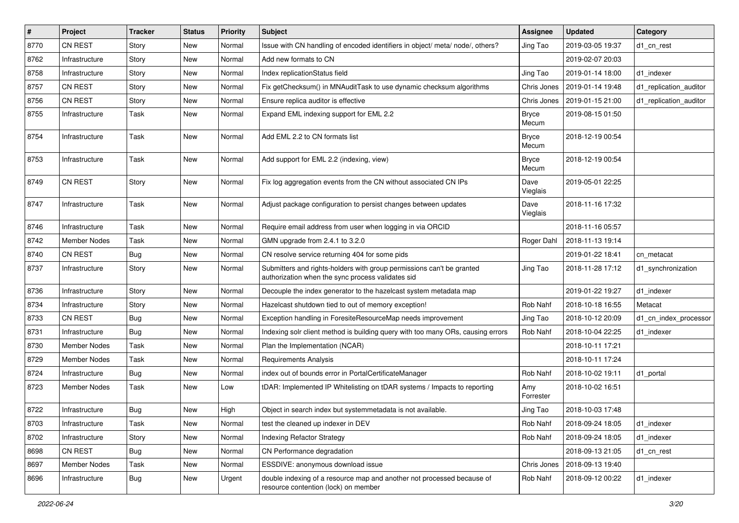| $\pmb{\#}$ | Project             | <b>Tracker</b> | <b>Status</b> | Priority | <b>Subject</b>                                                                                                             | <b>Assignee</b>       | <b>Updated</b>   | Category               |
|------------|---------------------|----------------|---------------|----------|----------------------------------------------------------------------------------------------------------------------------|-----------------------|------------------|------------------------|
| 8770       | <b>CN REST</b>      | Story          | New           | Normal   | Issue with CN handling of encoded identifiers in object/ meta/ node/, others?                                              | Jing Tao              | 2019-03-05 19:37 | d1_cn_rest             |
| 8762       | Infrastructure      | Story          | New           | Normal   | Add new formats to CN                                                                                                      |                       | 2019-02-07 20:03 |                        |
| 8758       | Infrastructure      | Story          | New           | Normal   | Index replicationStatus field                                                                                              | Jing Tao              | 2019-01-14 18:00 | d1_indexer             |
| 8757       | <b>CN REST</b>      | Story          | New           | Normal   | Fix getChecksum() in MNAuditTask to use dynamic checksum algorithms                                                        | Chris Jones           | 2019-01-14 19:48 | d1_replication_auditor |
| 8756       | CN REST             | Story          | New           | Normal   | Ensure replica auditor is effective                                                                                        | Chris Jones           | 2019-01-15 21:00 | d1_replication_auditor |
| 8755       | Infrastructure      | Task           | New           | Normal   | Expand EML indexing support for EML 2.2                                                                                    | <b>Bryce</b><br>Mecum | 2019-08-15 01:50 |                        |
| 8754       | Infrastructure      | Task           | New           | Normal   | Add EML 2.2 to CN formats list                                                                                             | <b>Bryce</b><br>Mecum | 2018-12-19 00:54 |                        |
| 8753       | Infrastructure      | Task           | New           | Normal   | Add support for EML 2.2 (indexing, view)                                                                                   | <b>Bryce</b><br>Mecum | 2018-12-19 00:54 |                        |
| 8749       | <b>CN REST</b>      | Story          | New           | Normal   | Fix log aggregation events from the CN without associated CN IPs                                                           | Dave<br>Vieglais      | 2019-05-01 22:25 |                        |
| 8747       | Infrastructure      | Task           | New           | Normal   | Adjust package configuration to persist changes between updates                                                            | Dave<br>Vieglais      | 2018-11-16 17:32 |                        |
| 8746       | Infrastructure      | Task           | New           | Normal   | Require email address from user when logging in via ORCID                                                                  |                       | 2018-11-16 05:57 |                        |
| 8742       | <b>Member Nodes</b> | Task           | New           | Normal   | GMN upgrade from 2.4.1 to 3.2.0                                                                                            | Roger Dahl            | 2018-11-13 19:14 |                        |
| 8740       | <b>CN REST</b>      | Bug            | New           | Normal   | CN resolve service returning 404 for some pids                                                                             |                       | 2019-01-22 18:41 | cn metacat             |
| 8737       | Infrastructure      | Story          | New           | Normal   | Submitters and rights-holders with group permissions can't be granted<br>authorization when the sync process validates sid | Jing Tao              | 2018-11-28 17:12 | d1_synchronization     |
| 8736       | Infrastructure      | Story          | New           | Normal   | Decouple the index generator to the hazelcast system metadata map                                                          |                       | 2019-01-22 19:27 | d1 indexer             |
| 8734       | Infrastructure      | Story          | New           | Normal   | Hazelcast shutdown tied to out of memory exception!                                                                        | Rob Nahf              | 2018-10-18 16:55 | Metacat                |
| 8733       | <b>CN REST</b>      | <b>Bug</b>     | New           | Normal   | Exception handling in ForesiteResourceMap needs improvement                                                                | Jing Tao              | 2018-10-12 20:09 | d1_cn_index_processor  |
| 8731       | Infrastructure      | <b>Bug</b>     | New           | Normal   | Indexing solr client method is building query with too many ORs, causing errors                                            | Rob Nahf              | 2018-10-04 22:25 | d1 indexer             |
| 8730       | Member Nodes        | Task           | New           | Normal   | Plan the Implementation (NCAR)                                                                                             |                       | 2018-10-11 17:21 |                        |
| 8729       | <b>Member Nodes</b> | Task           | New           | Normal   | Requirements Analysis                                                                                                      |                       | 2018-10-11 17:24 |                        |
| 8724       | Infrastructure      | <b>Bug</b>     | New           | Normal   | index out of bounds error in PortalCertificateManager                                                                      | Rob Nahf              | 2018-10-02 19:11 | d1 portal              |
| 8723       | <b>Member Nodes</b> | Task           | New           | Low      | tDAR: Implemented IP Whitelisting on tDAR systems / Impacts to reporting                                                   | Amy<br>Forrester      | 2018-10-02 16:51 |                        |
| 8722       | Infrastructure      | Bug            | New           | High     | Object in search index but systemmetadata is not available.                                                                | Jing Tao              | 2018-10-03 17:48 |                        |
| 8703       | Infrastructure      | Task           | New           | Normal   | test the cleaned up indexer in DEV                                                                                         | Rob Nahf              | 2018-09-24 18:05 | d1_indexer             |
| 8702       | Infrastructure      | Story          | New           | Normal   | <b>Indexing Refactor Strategy</b>                                                                                          | Rob Nahf              | 2018-09-24 18:05 | d1_indexer             |
| 8698       | CN REST             | <b>Bug</b>     | New           | Normal   | CN Performance degradation                                                                                                 |                       | 2018-09-13 21:05 | d1_cn_rest             |
| 8697       | Member Nodes        | Task           | New           | Normal   | ESSDIVE: anonymous download issue                                                                                          | Chris Jones           | 2018-09-13 19:40 |                        |
| 8696       | Infrastructure      | <b>Bug</b>     | New           | Urgent   | double indexing of a resource map and another not processed because of<br>resource contention (lock) on member             | Rob Nahf              | 2018-09-12 00:22 | d1_indexer             |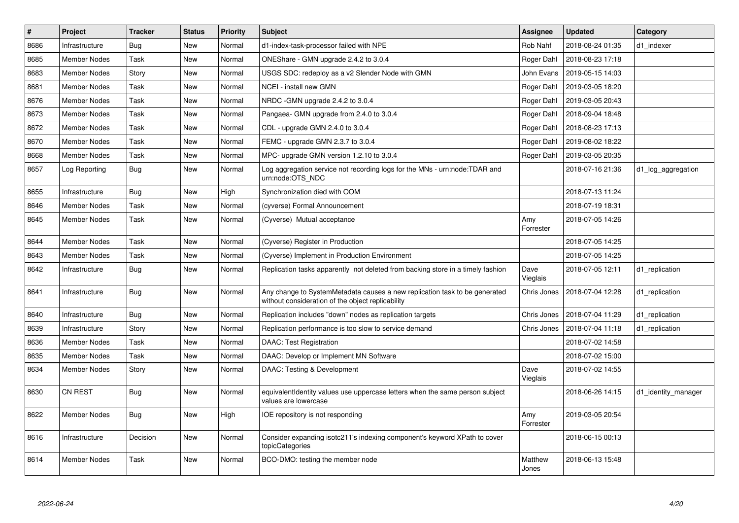| $\pmb{\#}$ | Project             | <b>Tracker</b> | <b>Status</b> | <b>Priority</b> | <b>Subject</b>                                                                                                                  | <b>Assignee</b>  | <b>Updated</b>   | Category            |
|------------|---------------------|----------------|---------------|-----------------|---------------------------------------------------------------------------------------------------------------------------------|------------------|------------------|---------------------|
| 8686       | Infrastructure      | Bug            | <b>New</b>    | Normal          | d1-index-task-processor failed with NPE                                                                                         | Rob Nahf         | 2018-08-24 01:35 | d1 indexer          |
| 8685       | <b>Member Nodes</b> | Task           | <b>New</b>    | Normal          | ONEShare - GMN upgrade 2.4.2 to 3.0.4                                                                                           | Roger Dahl       | 2018-08-23 17:18 |                     |
| 8683       | <b>Member Nodes</b> | Story          | New           | Normal          | USGS SDC: redeploy as a v2 Slender Node with GMN                                                                                | John Evans       | 2019-05-15 14:03 |                     |
| 8681       | <b>Member Nodes</b> | Task           | New           | Normal          | NCEI - install new GMN                                                                                                          | Roger Dahl       | 2019-03-05 18:20 |                     |
| 8676       | <b>Member Nodes</b> | Task           | New           | Normal          | NRDC - GMN upgrade 2.4.2 to 3.0.4                                                                                               | Roger Dahl       | 2019-03-05 20:43 |                     |
| 8673       | Member Nodes        | Task           | New           | Normal          | Pangaea- GMN upgrade from 2.4.0 to 3.0.4                                                                                        | Roger Dahl       | 2018-09-04 18:48 |                     |
| 8672       | Member Nodes        | Task           | New           | Normal          | CDL - upgrade GMN 2.4.0 to 3.0.4                                                                                                | Roger Dahl       | 2018-08-23 17:13 |                     |
| 8670       | Member Nodes        | Task           | New           | Normal          | FEMC - upgrade GMN 2.3.7 to 3.0.4                                                                                               | Roger Dahl       | 2019-08-02 18:22 |                     |
| 8668       | <b>Member Nodes</b> | Task           | <b>New</b>    | Normal          | MPC- upgrade GMN version 1.2.10 to 3.0.4                                                                                        | Roger Dahl       | 2019-03-05 20:35 |                     |
| 8657       | Log Reporting       | <b>Bug</b>     | New           | Normal          | Log aggregation service not recording logs for the MNs - urn:node:TDAR and<br>urn:node:OTS NDC                                  |                  | 2018-07-16 21:36 | d1_log_aggregation  |
| 8655       | Infrastructure      | <b>Bug</b>     | <b>New</b>    | High            | Synchronization died with OOM                                                                                                   |                  | 2018-07-13 11:24 |                     |
| 8646       | <b>Member Nodes</b> | Task           | New           | Normal          | (cyverse) Formal Announcement                                                                                                   |                  | 2018-07-19 18:31 |                     |
| 8645       | <b>Member Nodes</b> | Task           | New           | Normal          | (Cyverse) Mutual acceptance                                                                                                     | Amy<br>Forrester | 2018-07-05 14:26 |                     |
| 8644       | <b>Member Nodes</b> | Task           | New           | Normal          | (Cyverse) Register in Production                                                                                                |                  | 2018-07-05 14:25 |                     |
| 8643       | <b>Member Nodes</b> | Task           | New           | Normal          | (Cyverse) Implement in Production Environment                                                                                   |                  | 2018-07-05 14:25 |                     |
| 8642       | Infrastructure      | <b>Bug</b>     | New           | Normal          | Replication tasks apparently not deleted from backing store in a timely fashion                                                 | Dave<br>Vieglais | 2018-07-05 12:11 | d1 replication      |
| 8641       | Infrastructure      | Bug            | New           | Normal          | Any change to SystemMetadata causes a new replication task to be generated<br>without consideration of the object replicability | Chris Jones      | 2018-07-04 12:28 | d1 replication      |
| 8640       | Infrastructure      | <b>Bug</b>     | New           | Normal          | Replication includes "down" nodes as replication targets                                                                        | Chris Jones      | 2018-07-04 11:29 | d1 replication      |
| 8639       | Infrastructure      | Story          | New           | Normal          | Replication performance is too slow to service demand                                                                           | Chris Jones      | 2018-07-04 11:18 | d1 replication      |
| 8636       | <b>Member Nodes</b> | Task           | New           | Normal          | <b>DAAC: Test Registration</b>                                                                                                  |                  | 2018-07-02 14:58 |                     |
| 8635       | <b>Member Nodes</b> | Task           | New           | Normal          | DAAC: Develop or Implement MN Software                                                                                          |                  | 2018-07-02 15:00 |                     |
| 8634       | <b>Member Nodes</b> | Story          | New           | Normal          | DAAC: Testing & Development                                                                                                     | Dave<br>Vieglais | 2018-07-02 14:55 |                     |
| 8630       | <b>CN REST</b>      | Bug            | <b>New</b>    | Normal          | equivalentIdentity values use uppercase letters when the same person subject<br>values are lowercase                            |                  | 2018-06-26 14:15 | d1_identity_manager |
| 8622       | <b>Member Nodes</b> | Bug            | New           | High            | IOE repository is not responding                                                                                                | Amy<br>Forrester | 2019-03-05 20:54 |                     |
| 8616       | Infrastructure      | Decision       | New           | Normal          | Consider expanding isotc211's indexing component's keyword XPath to cover<br>topicCategories                                    |                  | 2018-06-15 00:13 |                     |
| 8614       | Member Nodes        | Task           | <b>New</b>    | Normal          | BCO-DMO: testing the member node                                                                                                | Matthew<br>Jones | 2018-06-13 15:48 |                     |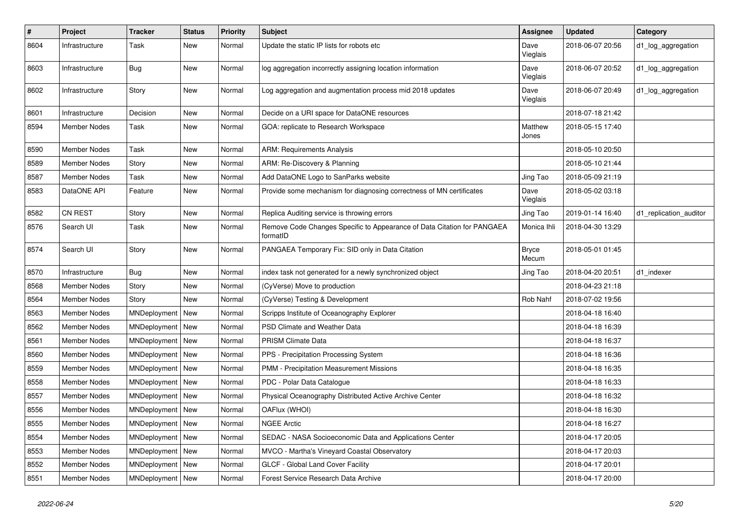| $\vert$ # | Project             | <b>Tracker</b>     | <b>Status</b> | Priority | <b>Subject</b>                                                                      | <b>Assignee</b>       | <b>Updated</b>   | Category               |
|-----------|---------------------|--------------------|---------------|----------|-------------------------------------------------------------------------------------|-----------------------|------------------|------------------------|
| 8604      | Infrastructure      | Task               | New           | Normal   | Update the static IP lists for robots etc                                           | Dave<br>Vieglais      | 2018-06-07 20:56 | d1_log_aggregation     |
| 8603      | Infrastructure      | Bug                | New           | Normal   | log aggregation incorrectly assigning location information                          | Dave<br>Vieglais      | 2018-06-07 20:52 | d1_log_aggregation     |
| 8602      | Infrastructure      | Story              | New           | Normal   | Log aggregation and augmentation process mid 2018 updates                           | Dave<br>Vieglais      | 2018-06-07 20:49 | d1_log_aggregation     |
| 8601      | Infrastructure      | Decision           | New           | Normal   | Decide on a URI space for DataONE resources                                         |                       | 2018-07-18 21:42 |                        |
| 8594      | Member Nodes        | Task               | New           | Normal   | GOA: replicate to Research Workspace                                                | Matthew<br>Jones      | 2018-05-15 17:40 |                        |
| 8590      | <b>Member Nodes</b> | Task               | New           | Normal   | <b>ARM: Requirements Analysis</b>                                                   |                       | 2018-05-10 20:50 |                        |
| 8589      | <b>Member Nodes</b> | Story              | New           | Normal   | ARM: Re-Discovery & Planning                                                        |                       | 2018-05-10 21:44 |                        |
| 8587      | Member Nodes        | Task               | New           | Normal   | Add DataONE Logo to SanParks website                                                | Jing Tao              | 2018-05-09 21:19 |                        |
| 8583      | DataONE API         | Feature            | New           | Normal   | Provide some mechanism for diagnosing correctness of MN certificates                | Dave<br>Vieglais      | 2018-05-02 03:18 |                        |
| 8582      | CN REST             | Story              | New           | Normal   | Replica Auditing service is throwing errors                                         | Jing Tao              | 2019-01-14 16:40 | d1_replication_auditor |
| 8576      | Search UI           | Task               | New           | Normal   | Remove Code Changes Specific to Appearance of Data Citation for PANGAEA<br>formatID | Monica Ihli           | 2018-04-30 13:29 |                        |
| 8574      | Search UI           | Story              | New           | Normal   | PANGAEA Temporary Fix: SID only in Data Citation                                    | <b>Bryce</b><br>Mecum | 2018-05-01 01:45 |                        |
| 8570      | Infrastructure      | Bug                | New           | Normal   | index task not generated for a newly synchronized object                            | Jing Tao              | 2018-04-20 20:51 | d1_indexer             |
| 8568      | <b>Member Nodes</b> | Story              | New           | Normal   | (CyVerse) Move to production                                                        |                       | 2018-04-23 21:18 |                        |
| 8564      | Member Nodes        | Story              | New           | Normal   | (CyVerse) Testing & Development                                                     | Rob Nahf              | 2018-07-02 19:56 |                        |
| 8563      | <b>Member Nodes</b> | MNDeployment   New |               | Normal   | Scripps Institute of Oceanography Explorer                                          |                       | 2018-04-18 16:40 |                        |
| 8562      | Member Nodes        | MNDeployment   New |               | Normal   | PSD Climate and Weather Data                                                        |                       | 2018-04-18 16:39 |                        |
| 8561      | <b>Member Nodes</b> | MNDeployment   New |               | Normal   | <b>PRISM Climate Data</b>                                                           |                       | 2018-04-18 16:37 |                        |
| 8560      | <b>Member Nodes</b> | MNDeployment   New |               | Normal   | PPS - Precipitation Processing System                                               |                       | 2018-04-18 16:36 |                        |
| 8559      | Member Nodes        | MNDeployment   New |               | Normal   | PMM - Precipitation Measurement Missions                                            |                       | 2018-04-18 16:35 |                        |
| 8558      | Member Nodes        | MNDeployment   New |               | Normal   | PDC - Polar Data Catalogue                                                          |                       | 2018-04-18 16:33 |                        |
| 8557      | <b>Member Nodes</b> | MNDeployment   New |               | Normal   | Physical Oceanography Distributed Active Archive Center                             |                       | 2018-04-18 16:32 |                        |
| 8556      | <b>Member Nodes</b> | MNDeployment   New |               | Normal   | OAFlux (WHOI)                                                                       |                       | 2018-04-18 16:30 |                        |
| 8555      | Member Nodes        | MNDeployment   New |               | Normal   | <b>NGEE Arctic</b>                                                                  |                       | 2018-04-18 16:27 |                        |
| 8554      | Member Nodes        | MNDeployment   New |               | Normal   | SEDAC - NASA Socioeconomic Data and Applications Center                             |                       | 2018-04-17 20:05 |                        |
| 8553      | Member Nodes        | MNDeployment   New |               | Normal   | MVCO - Martha's Vineyard Coastal Observatory                                        |                       | 2018-04-17 20:03 |                        |
| 8552      | Member Nodes        | MNDeployment   New |               | Normal   | GLCF - Global Land Cover Facility                                                   |                       | 2018-04-17 20:01 |                        |
| 8551      | Member Nodes        | MNDeployment   New |               | Normal   | Forest Service Research Data Archive                                                |                       | 2018-04-17 20:00 |                        |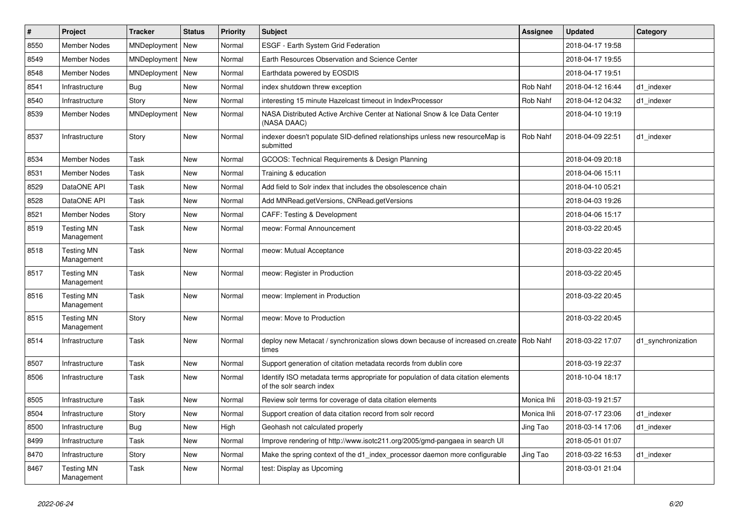| $\vert$ # | Project                         | <b>Tracker</b>     | <b>Status</b> | <b>Priority</b> | <b>Subject</b>                                                                                               | Assignee    | <b>Updated</b>   | Category           |
|-----------|---------------------------------|--------------------|---------------|-----------------|--------------------------------------------------------------------------------------------------------------|-------------|------------------|--------------------|
| 8550      | <b>Member Nodes</b>             | MNDeployment       | New           | Normal          | ESGF - Earth System Grid Federation                                                                          |             | 2018-04-17 19:58 |                    |
| 8549      | Member Nodes                    | MNDeployment   New |               | Normal          | Earth Resources Observation and Science Center                                                               |             | 2018-04-17 19:55 |                    |
| 8548      | <b>Member Nodes</b>             | MNDeployment   New |               | Normal          | Earthdata powered by EOSDIS                                                                                  |             | 2018-04-17 19:51 |                    |
| 8541      | Infrastructure                  | <b>Bug</b>         | New           | Normal          | index shutdown threw exception                                                                               | Rob Nahf    | 2018-04-12 16:44 | d1_indexer         |
| 8540      | Infrastructure                  | Story              | New           | Normal          | interesting 15 minute Hazelcast timeout in IndexProcessor                                                    | Rob Nahf    | 2018-04-12 04:32 | d1 indexer         |
| 8539      | <b>Member Nodes</b>             | MNDeployment   New |               | Normal          | NASA Distributed Active Archive Center at National Snow & Ice Data Center<br>(NASA DAAC)                     |             | 2018-04-10 19:19 |                    |
| 8537      | Infrastructure                  | Story              | New           | Normal          | indexer doesn't populate SID-defined relationships unless new resourceMap is<br>submitted                    | Rob Nahf    | 2018-04-09 22:51 | d1 indexer         |
| 8534      | <b>Member Nodes</b>             | Task               | New           | Normal          | GCOOS: Technical Requirements & Design Planning                                                              |             | 2018-04-09 20:18 |                    |
| 8531      | <b>Member Nodes</b>             | Task               | New           | Normal          | Training & education                                                                                         |             | 2018-04-06 15:11 |                    |
| 8529      | DataONE API                     | Task               | New           | Normal          | Add field to Solr index that includes the obsolescence chain                                                 |             | 2018-04-10 05:21 |                    |
| 8528      | DataONE API                     | Task               | New           | Normal          | Add MNRead.getVersions, CNRead.getVersions                                                                   |             | 2018-04-03 19:26 |                    |
| 8521      | Member Nodes                    | Story              | New           | Normal          | <b>CAFF: Testing &amp; Development</b>                                                                       |             | 2018-04-06 15:17 |                    |
| 8519      | <b>Testing MN</b><br>Management | Task               | New           | Normal          | meow: Formal Announcement                                                                                    |             | 2018-03-22 20:45 |                    |
| 8518      | <b>Testing MN</b><br>Management | Task               | New           | Normal          | meow: Mutual Acceptance                                                                                      |             | 2018-03-22 20:45 |                    |
| 8517      | <b>Testing MN</b><br>Management | Task               | New           | Normal          | meow: Register in Production                                                                                 |             | 2018-03-22 20:45 |                    |
| 8516      | <b>Testing MN</b><br>Management | Task               | New           | Normal          | meow: Implement in Production                                                                                |             | 2018-03-22 20:45 |                    |
| 8515      | <b>Testing MN</b><br>Management | Story              | New           | Normal          | meow: Move to Production                                                                                     |             | 2018-03-22 20:45 |                    |
| 8514      | Infrastructure                  | Task               | New           | Normal          | deploy new Metacat / synchronization slows down because of increased cn.create   Rob Nahf<br>times           |             | 2018-03-22 17:07 | d1 synchronization |
| 8507      | Infrastructure                  | Task               | <b>New</b>    | Normal          | Support generation of citation metadata records from dublin core                                             |             | 2018-03-19 22:37 |                    |
| 8506      | Infrastructure                  | Task               | New           | Normal          | Identify ISO metadata terms appropriate for population of data citation elements<br>of the solr search index |             | 2018-10-04 18:17 |                    |
| 8505      | Infrastructure                  | Task               | New           | Normal          | Review solr terms for coverage of data citation elements                                                     | Monica Ihli | 2018-03-19 21:57 |                    |
| 8504      | Infrastructure                  | Story              | New           | Normal          | Support creation of data citation record from solr record                                                    | Monica Ihli | 2018-07-17 23:06 | d1_indexer         |
| 8500      | Infrastructure                  | <b>Bug</b>         | New           | High            | Geohash not calculated properly                                                                              | Jing Tao    | 2018-03-14 17:06 | d1 indexer         |
| 8499      | Infrastructure                  | Task               | New           | Normal          | Improve rendering of http://www.isotc211.org/2005/gmd-pangaea in search UI                                   |             | 2018-05-01 01:07 |                    |
| 8470      | Infrastructure                  | Story              | New           | Normal          | Make the spring context of the d1_index_processor daemon more configurable                                   | Jing Tao    | 2018-03-22 16:53 | d1 indexer         |
| 8467      | <b>Testing MN</b><br>Management | Task               | New           | Normal          | test: Display as Upcoming                                                                                    |             | 2018-03-01 21:04 |                    |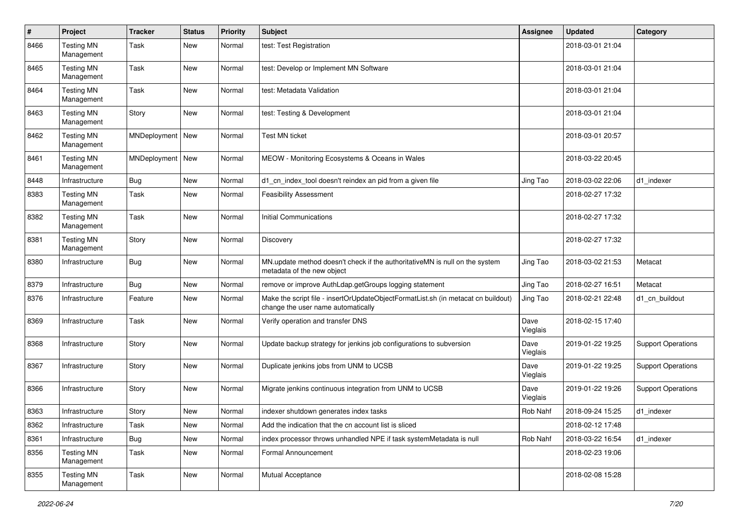| $\pmb{\#}$ | Project                         | <b>Tracker</b>     | <b>Status</b> | <b>Priority</b> | <b>Subject</b>                                                                                                          | <b>Assignee</b>  | <b>Updated</b>   | Category                  |
|------------|---------------------------------|--------------------|---------------|-----------------|-------------------------------------------------------------------------------------------------------------------------|------------------|------------------|---------------------------|
| 8466       | <b>Testing MN</b><br>Management | Task               | New           | Normal          | test: Test Registration                                                                                                 |                  | 2018-03-01 21:04 |                           |
| 8465       | <b>Testing MN</b><br>Management | Task               | New           | Normal          | test: Develop or Implement MN Software                                                                                  |                  | 2018-03-01 21:04 |                           |
| 8464       | <b>Testing MN</b><br>Management | <b>Task</b>        | New           | Normal          | test: Metadata Validation                                                                                               |                  | 2018-03-01 21:04 |                           |
| 8463       | <b>Testing MN</b><br>Management | Story              | New           | Normal          | test: Testing & Development                                                                                             |                  | 2018-03-01 21:04 |                           |
| 8462       | <b>Testing MN</b><br>Management | MNDeployment   New |               | Normal          | <b>Test MN ticket</b>                                                                                                   |                  | 2018-03-01 20:57 |                           |
| 8461       | <b>Testing MN</b><br>Management | MNDeployment   New |               | Normal          | MEOW - Monitoring Ecosystems & Oceans in Wales                                                                          |                  | 2018-03-22 20:45 |                           |
| 8448       | Infrastructure                  | Bug                | New           | Normal          | d1_cn_index_tool doesn't reindex an pid from a given file                                                               | Jing Tao         | 2018-03-02 22:06 | d1_indexer                |
| 8383       | <b>Testing MN</b><br>Management | Task               | New           | Normal          | <b>Feasibility Assessment</b>                                                                                           |                  | 2018-02-27 17:32 |                           |
| 8382       | <b>Testing MN</b><br>Management | <b>Task</b>        | New           | Normal          | <b>Initial Communications</b>                                                                                           |                  | 2018-02-27 17:32 |                           |
| 8381       | <b>Testing MN</b><br>Management | Story              | New           | Normal          | Discovery                                                                                                               |                  | 2018-02-27 17:32 |                           |
| 8380       | Infrastructure                  | <b>Bug</b>         | New           | Normal          | MN.update method doesn't check if the authoritativeMN is null on the system<br>metadata of the new object               | Jing Tao         | 2018-03-02 21:53 | Metacat                   |
| 8379       | Infrastructure                  | Bug                | New           | Normal          | remove or improve AuthLdap.getGroups logging statement                                                                  | Jing Tao         | 2018-02-27 16:51 | Metacat                   |
| 8376       | Infrastructure                  | Feature            | New           | Normal          | Make the script file - insertOrUpdateObjectFormatList.sh (in metacat cn buildout)<br>change the user name automatically | Jing Tao         | 2018-02-21 22:48 | d1_cn_buildout            |
| 8369       | Infrastructure                  | Task               | New           | Normal          | Verify operation and transfer DNS                                                                                       | Dave<br>Vieglais | 2018-02-15 17:40 |                           |
| 8368       | Infrastructure                  | Story              | New           | Normal          | Update backup strategy for jenkins job configurations to subversion                                                     | Dave<br>Vieglais | 2019-01-22 19:25 | <b>Support Operations</b> |
| 8367       | Infrastructure                  | Story              | New           | Normal          | Duplicate jenkins jobs from UNM to UCSB                                                                                 | Dave<br>Vieglais | 2019-01-22 19:25 | <b>Support Operations</b> |
| 8366       | Infrastructure                  | Story              | New           | Normal          | Migrate jenkins continuous integration from UNM to UCSB                                                                 | Dave<br>Vieglais | 2019-01-22 19:26 | <b>Support Operations</b> |
| 8363       | Infrastructure                  | Story              | New           | Normal          | indexer shutdown generates index tasks                                                                                  | Rob Nahf         | 2018-09-24 15:25 | d1_indexer                |
| 8362       | Infrastructure                  | Task               | New           | Normal          | Add the indication that the cn account list is sliced                                                                   |                  | 2018-02-12 17:48 |                           |
| 8361       | Infrastructure                  | <b>Bug</b>         | New           | Normal          | index processor throws unhandled NPE if task systemMetadata is null                                                     | Rob Nahf         | 2018-03-22 16:54 | d1_indexer                |
| 8356       | <b>Testing MN</b><br>Management | Task               | New           | Normal          | Formal Announcement                                                                                                     |                  | 2018-02-23 19:06 |                           |
| 8355       | <b>Testing MN</b><br>Management | Task               | New           | Normal          | Mutual Acceptance                                                                                                       |                  | 2018-02-08 15:28 |                           |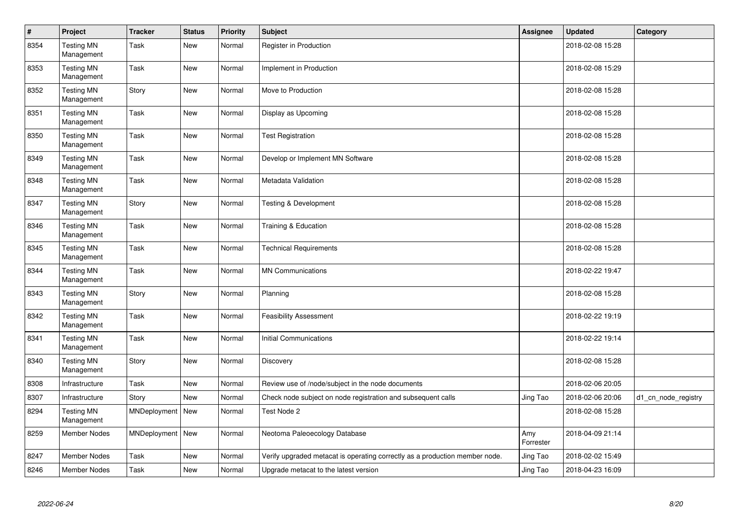| $\sharp$ | Project                         | <b>Tracker</b>     | <b>Status</b> | <b>Priority</b> | <b>Subject</b>                                                              | Assignee         | <b>Updated</b>   | Category            |
|----------|---------------------------------|--------------------|---------------|-----------------|-----------------------------------------------------------------------------|------------------|------------------|---------------------|
| 8354     | <b>Testing MN</b><br>Management | Task               | New           | Normal          | Register in Production                                                      |                  | 2018-02-08 15:28 |                     |
| 8353     | <b>Testing MN</b><br>Management | Task               | New           | Normal          | Implement in Production                                                     |                  | 2018-02-08 15:29 |                     |
| 8352     | <b>Testing MN</b><br>Management | Story              | <b>New</b>    | Normal          | Move to Production                                                          |                  | 2018-02-08 15:28 |                     |
| 8351     | <b>Testing MN</b><br>Management | Task               | New           | Normal          | Display as Upcoming                                                         |                  | 2018-02-08 15:28 |                     |
| 8350     | <b>Testing MN</b><br>Management | Task               | New           | Normal          | <b>Test Registration</b>                                                    |                  | 2018-02-08 15:28 |                     |
| 8349     | <b>Testing MN</b><br>Management | <b>Task</b>        | New           | Normal          | Develop or Implement MN Software                                            |                  | 2018-02-08 15:28 |                     |
| 8348     | <b>Testing MN</b><br>Management | Task               | New           | Normal          | Metadata Validation                                                         |                  | 2018-02-08 15:28 |                     |
| 8347     | <b>Testing MN</b><br>Management | Story              | New           | Normal          | Testing & Development                                                       |                  | 2018-02-08 15:28 |                     |
| 8346     | <b>Testing MN</b><br>Management | Task               | New           | Normal          | Training & Education                                                        |                  | 2018-02-08 15:28 |                     |
| 8345     | <b>Testing MN</b><br>Management | Task               | <b>New</b>    | Normal          | <b>Technical Requirements</b>                                               |                  | 2018-02-08 15:28 |                     |
| 8344     | <b>Testing MN</b><br>Management | Task               | <b>New</b>    | Normal          | <b>MN Communications</b>                                                    |                  | 2018-02-22 19:47 |                     |
| 8343     | <b>Testing MN</b><br>Management | Story              | New           | Normal          | Planning                                                                    |                  | 2018-02-08 15:28 |                     |
| 8342     | <b>Testing MN</b><br>Management | Task               | New           | Normal          | <b>Feasibility Assessment</b>                                               |                  | 2018-02-22 19:19 |                     |
| 8341     | <b>Testing MN</b><br>Management | <b>Task</b>        | New           | Normal          | <b>Initial Communications</b>                                               |                  | 2018-02-22 19:14 |                     |
| 8340     | <b>Testing MN</b><br>Management | Story              | New           | Normal          | Discovery                                                                   |                  | 2018-02-08 15:28 |                     |
| 8308     | Infrastructure                  | Task               | New           | Normal          | Review use of /node/subject in the node documents                           |                  | 2018-02-06 20:05 |                     |
| 8307     | Infrastructure                  | Story              | New           | Normal          | Check node subject on node registration and subsequent calls                | Jing Tao         | 2018-02-06 20:06 | d1_cn_node_registry |
| 8294     | <b>Testing MN</b><br>Management | MNDeployment       | New           | Normal          | Test Node 2                                                                 |                  | 2018-02-08 15:28 |                     |
| 8259     | <b>Member Nodes</b>             | MNDeployment   New |               | Normal          | Neotoma Paleoecology Database                                               | Amy<br>Forrester | 2018-04-09 21:14 |                     |
| 8247     | <b>Member Nodes</b>             | Task               | New           | Normal          | Verify upgraded metacat is operating correctly as a production member node. | Jing Tao         | 2018-02-02 15:49 |                     |
| 8246     | Member Nodes                    | Task               | New           | Normal          | Upgrade metacat to the latest version                                       | Jing Tao         | 2018-04-23 16:09 |                     |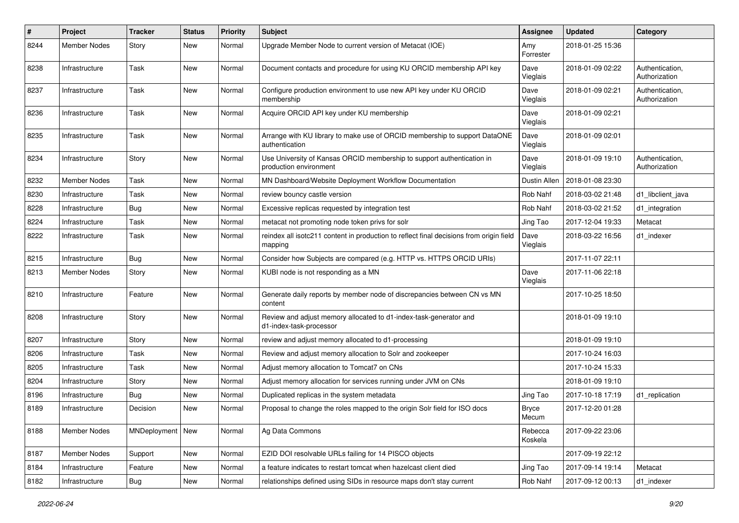| $\sharp$ | <b>Project</b>      | <b>Tracker</b>     | <b>Status</b> | <b>Priority</b> | <b>Subject</b>                                                                                     | <b>Assignee</b>       | <b>Updated</b>   | Category                         |
|----------|---------------------|--------------------|---------------|-----------------|----------------------------------------------------------------------------------------------------|-----------------------|------------------|----------------------------------|
| 8244     | Member Nodes        | Story              | New           | Normal          | Upgrade Member Node to current version of Metacat (IOE)                                            | Amy<br>Forrester      | 2018-01-25 15:36 |                                  |
| 8238     | Infrastructure      | Task               | New           | Normal          | Document contacts and procedure for using KU ORCID membership API key                              | Dave<br>Vieglais      | 2018-01-09 02:22 | Authentication,<br>Authorization |
| 8237     | Infrastructure      | Task               | New           | Normal          | Configure production environment to use new API key under KU ORCID<br>membership                   | Dave<br>Vieglais      | 2018-01-09 02:21 | Authentication,<br>Authorization |
| 8236     | Infrastructure      | Task               | New           | Normal          | Acquire ORCID API key under KU membership                                                          | Dave<br>Vieglais      | 2018-01-09 02:21 |                                  |
| 8235     | Infrastructure      | Task               | New           | Normal          | Arrange with KU library to make use of ORCID membership to support DataONE<br>authentication       | Dave<br>Vieglais      | 2018-01-09 02:01 |                                  |
| 8234     | Infrastructure      | Story              | New           | Normal          | Use University of Kansas ORCID membership to support authentication in<br>production environment   | Dave<br>Vieglais      | 2018-01-09 19:10 | Authentication,<br>Authorization |
| 8232     | <b>Member Nodes</b> | Task               | New           | Normal          | MN Dashboard/Website Deployment Workflow Documentation                                             | <b>Dustin Allen</b>   | 2018-01-08 23:30 |                                  |
| 8230     | Infrastructure      | Task               | New           | Normal          | review bouncy castle version                                                                       | Rob Nahf              | 2018-03-02 21:48 | d1 libclient java                |
| 8228     | Infrastructure      | <b>Bug</b>         | New           | Normal          | Excessive replicas requested by integration test                                                   | Rob Nahf              | 2018-03-02 21:52 | d1_integration                   |
| 8224     | Infrastructure      | Task               | New           | Normal          | metacat not promoting node token privs for solr                                                    | Jing Tao              | 2017-12-04 19:33 | Metacat                          |
| 8222     | Infrastructure      | Task               | New           | Normal          | reindex all isotc211 content in production to reflect final decisions from origin field<br>mapping | Dave<br>Vieglais      | 2018-03-22 16:56 | d1 indexer                       |
| 8215     | Infrastructure      | Bug                | New           | Normal          | Consider how Subjects are compared (e.g. HTTP vs. HTTPS ORCID URIs)                                |                       | 2017-11-07 22:11 |                                  |
| 8213     | Member Nodes        | Story              | New           | Normal          | KUBI node is not responding as a MN                                                                | Dave<br>Vieglais      | 2017-11-06 22:18 |                                  |
| 8210     | Infrastructure      | Feature            | New           | Normal          | Generate daily reports by member node of discrepancies between CN vs MN<br>content                 |                       | 2017-10-25 18:50 |                                  |
| 8208     | Infrastructure      | Story              | <b>New</b>    | Normal          | Review and adjust memory allocated to d1-index-task-generator and<br>d1-index-task-processor       |                       | 2018-01-09 19:10 |                                  |
| 8207     | Infrastructure      | Story              | New           | Normal          | review and adjust memory allocated to d1-processing                                                |                       | 2018-01-09 19:10 |                                  |
| 8206     | Infrastructure      | Task               | New           | Normal          | Review and adjust memory allocation to Solr and zookeeper                                          |                       | 2017-10-24 16:03 |                                  |
| 8205     | Infrastructure      | Task               | New           | Normal          | Adjust memory allocation to Tomcat7 on CNs                                                         |                       | 2017-10-24 15:33 |                                  |
| 8204     | Infrastructure      | Story              | New           | Normal          | Adjust memory allocation for services running under JVM on CNs                                     |                       | 2018-01-09 19:10 |                                  |
| 8196     | Infrastructure      | <b>Bug</b>         | New           | Normal          | Duplicated replicas in the system metadata                                                         | Jing Tao              | 2017-10-18 17:19 | d1 replication                   |
| 8189     | Infrastructure      | Decision           | New           | Normal          | Proposal to change the roles mapped to the origin Solr field for ISO docs                          | <b>Bryce</b><br>Mecum | 2017-12-20 01:28 |                                  |
| 8188     | Member Nodes        | MNDeployment   New |               | Normal          | Ag Data Commons                                                                                    | Rebecca<br>Koskela    | 2017-09-22 23:06 |                                  |
| 8187     | <b>Member Nodes</b> | Support            | New           | Normal          | EZID DOI resolvable URLs failing for 14 PISCO objects                                              |                       | 2017-09-19 22:12 |                                  |
| 8184     | Infrastructure      | Feature            | New           | Normal          | a feature indicates to restart tomcat when hazelcast client died                                   | Jing Tao              | 2017-09-14 19:14 | Metacat                          |
| 8182     | Infrastructure      | <b>Bug</b>         | New           | Normal          | relationships defined using SIDs in resource maps don't stay current                               | Rob Nahf              | 2017-09-12 00:13 | d1_indexer                       |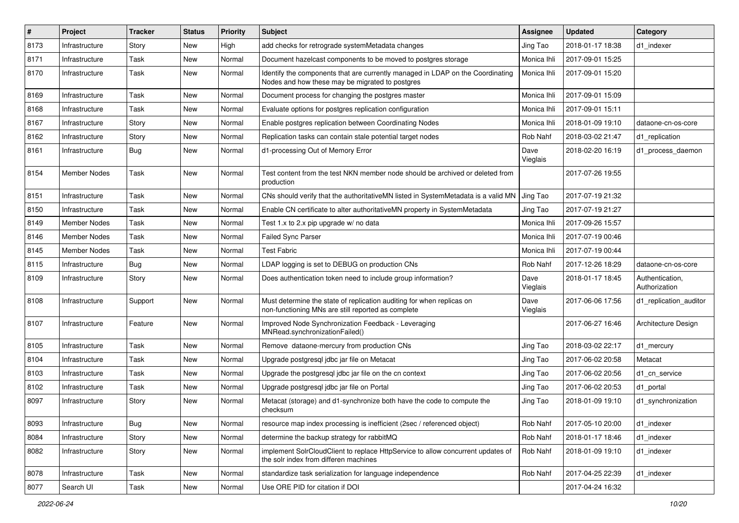| #    | Project             | <b>Tracker</b> | <b>Status</b> | <b>Priority</b> | <b>Subject</b>                                                                                                                    | <b>Assignee</b>  | <b>Updated</b>   | Category                         |
|------|---------------------|----------------|---------------|-----------------|-----------------------------------------------------------------------------------------------------------------------------------|------------------|------------------|----------------------------------|
| 8173 | Infrastructure      | Story          | New           | High            | add checks for retrograde systemMetadata changes                                                                                  | Jing Tao         | 2018-01-17 18:38 | d1 indexer                       |
| 8171 | Infrastructure      | Task           | New           | Normal          | Document hazelcast components to be moved to postgres storage                                                                     | Monica Ihli      | 2017-09-01 15:25 |                                  |
| 8170 | Infrastructure      | Task           | New           | Normal          | Identify the components that are currently managed in LDAP on the Coordinating<br>Nodes and how these may be migrated to postgres | Monica Ihli      | 2017-09-01 15:20 |                                  |
| 8169 | Infrastructure      | Task           | New           | Normal          | Document process for changing the postgres master                                                                                 | Monica Ihli      | 2017-09-01 15:09 |                                  |
| 8168 | Infrastructure      | Task           | New           | Normal          | Evaluate options for postgres replication configuration                                                                           | Monica Ihli      | 2017-09-01 15:11 |                                  |
| 8167 | Infrastructure      | Story          | New           | Normal          | Enable postgres replication between Coordinating Nodes                                                                            | Monica Ihli      | 2018-01-09 19:10 | dataone-cn-os-core               |
| 8162 | Infrastructure      | Story          | New           | Normal          | Replication tasks can contain stale potential target nodes                                                                        | Rob Nahf         | 2018-03-02 21:47 | d1 replication                   |
| 8161 | Infrastructure      | <b>Bug</b>     | New           | Normal          | d1-processing Out of Memory Error                                                                                                 | Dave<br>Vieglais | 2018-02-20 16:19 | d1_process_daemon                |
| 8154 | Member Nodes        | Task           | New           | Normal          | Test content from the test NKN member node should be archived or deleted from<br>production                                       |                  | 2017-07-26 19:55 |                                  |
| 8151 | Infrastructure      | Task           | <b>New</b>    | Normal          | CNs should verify that the authoritativeMN listed in SystemMetadata is a valid MN                                                 | Jing Tao         | 2017-07-19 21:32 |                                  |
| 8150 | Infrastructure      | Task           | New           | Normal          | Enable CN certificate to alter authoritativeMN property in SystemMetadata                                                         | Jing Tao         | 2017-07-19 21:27 |                                  |
| 8149 | Member Nodes        | Task           | New           | Normal          | Test 1.x to 2.x pip upgrade w/ no data                                                                                            | Monica Ihli      | 2017-09-26 15:57 |                                  |
| 8146 | <b>Member Nodes</b> | Task           | New           | Normal          | <b>Failed Sync Parser</b>                                                                                                         | Monica Ihli      | 2017-07-19 00:46 |                                  |
| 8145 | Member Nodes        | Task           | New           | Normal          | <b>Test Fabric</b>                                                                                                                | Monica Ihli      | 2017-07-19 00:44 |                                  |
| 8115 | Infrastructure      | Bug            | New           | Normal          | LDAP logging is set to DEBUG on production CNs                                                                                    | Rob Nahf         | 2017-12-26 18:29 | dataone-cn-os-core               |
| 8109 | Infrastructure      | Story          | New           | Normal          | Does authentication token need to include group information?                                                                      | Dave<br>Vieglais | 2018-01-17 18:45 | Authentication,<br>Authorization |
| 8108 | Infrastructure      | Support        | New           | Normal          | Must determine the state of replication auditing for when replicas on<br>non-functioning MNs are still reported as complete       | Dave<br>Vieglais | 2017-06-06 17:56 | d1_replication_auditor           |
| 8107 | Infrastructure      | Feature        | New           | Normal          | Improved Node Synchronization Feedback - Leveraging<br>MNRead.synchronizationFailed()                                             |                  | 2017-06-27 16:46 | Architecture Design              |
| 8105 | Infrastructure      | Task           | New           | Normal          | Remove dataone-mercury from production CNs                                                                                        | Jing Tao         | 2018-03-02 22:17 | d1_mercury                       |
| 8104 | Infrastructure      | Task           | New           | Normal          | Upgrade postgresql jdbc jar file on Metacat                                                                                       | Jing Tao         | 2017-06-02 20:58 | Metacat                          |
| 8103 | Infrastructure      | Task           | New           | Normal          | Upgrade the postgresql jdbc jar file on the cn context                                                                            | Jing Tao         | 2017-06-02 20:56 | d1_cn_service                    |
| 8102 | Infrastructure      | Task           | New           | Normal          | Upgrade postgresgl jdbc jar file on Portal                                                                                        | Jing Tao         | 2017-06-02 20:53 | d1_portal                        |
| 8097 | Infrastructure      | Story          | New           | Normal          | Metacat (storage) and d1-synchronize both have the code to compute the<br>checksum                                                | Jing Tao         | 2018-01-09 19:10 | d1_synchronization               |
| 8093 | Infrastructure      | <b>Bug</b>     | New           | Normal          | resource map index processing is inefficient (2sec / referenced object)                                                           | Rob Nahf         | 2017-05-10 20:00 | d1_indexer                       |
| 8084 | Infrastructure      | Story          | New           | Normal          | determine the backup strategy for rabbitMQ                                                                                        | Rob Nahf         | 2018-01-17 18:46 | d1 indexer                       |
| 8082 | Infrastructure      | Story          | New           | Normal          | implement SolrCloudClient to replace HttpService to allow concurrent updates of<br>the solr index from differen machines          | Rob Nahf         | 2018-01-09 19:10 | d1 indexer                       |
| 8078 | Infrastructure      | Task           | New           | Normal          | standardize task serialization for language independence                                                                          | Rob Nahf         | 2017-04-25 22:39 | d1_indexer                       |
| 8077 | Search UI           | Task           | New           | Normal          | Use ORE PID for citation if DOI                                                                                                   |                  | 2017-04-24 16:32 |                                  |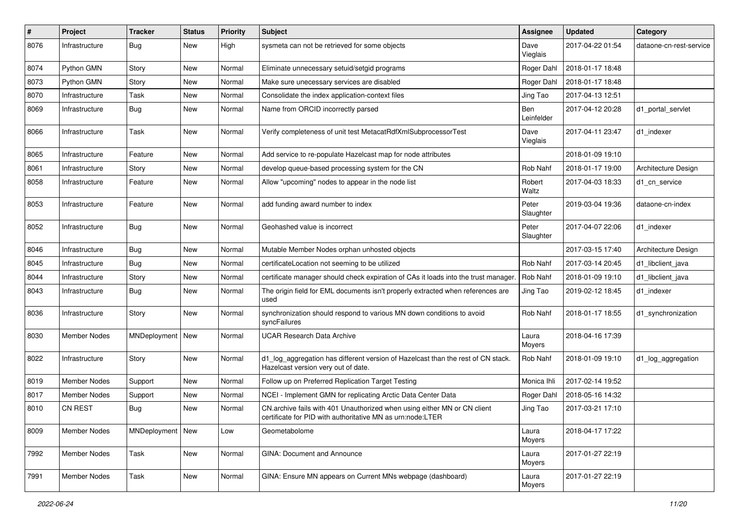| #    | Project             | <b>Tracker</b>     | <b>Status</b> | <b>Priority</b> | Subject                                                                                                                                | <b>Assignee</b>    | <b>Updated</b>   | Category                |
|------|---------------------|--------------------|---------------|-----------------|----------------------------------------------------------------------------------------------------------------------------------------|--------------------|------------------|-------------------------|
| 8076 | Infrastructure      | <b>Bug</b>         | New           | High            | sysmeta can not be retrieved for some objects                                                                                          | Dave<br>Vieglais   | 2017-04-22 01:54 | dataone-cn-rest-service |
| 8074 | Python GMN          | Story              | New           | Normal          | Eliminate unnecessary setuid/setgid programs                                                                                           | Roger Dahl         | 2018-01-17 18:48 |                         |
| 8073 | Python GMN          | Story              | New           | Normal          | Make sure unecessary services are disabled                                                                                             | Roger Dahl         | 2018-01-17 18:48 |                         |
| 8070 | Infrastructure      | Task               | New           | Normal          | Consolidate the index application-context files                                                                                        | Jing Tao           | 2017-04-13 12:51 |                         |
| 8069 | Infrastructure      | <b>Bug</b>         | New           | Normal          | Name from ORCID incorrectly parsed                                                                                                     | Ben<br>Leinfelder  | 2017-04-12 20:28 | d1 portal servlet       |
| 8066 | Infrastructure      | Task               | New           | Normal          | Verify completeness of unit test MetacatRdfXmlSubprocessorTest                                                                         | Dave<br>Vieglais   | 2017-04-11 23:47 | d1 indexer              |
| 8065 | Infrastructure      | Feature            | New           | Normal          | Add service to re-populate Hazelcast map for node attributes                                                                           |                    | 2018-01-09 19:10 |                         |
| 8061 | Infrastructure      | Story              | New           | Normal          | develop queue-based processing system for the CN                                                                                       | Rob Nahf           | 2018-01-17 19:00 | Architecture Design     |
| 8058 | Infrastructure      | Feature            | New           | Normal          | Allow "upcoming" nodes to appear in the node list                                                                                      | Robert<br>Waltz    | 2017-04-03 18:33 | d1 cn service           |
| 8053 | Infrastructure      | Feature            | New           | Normal          | add funding award number to index                                                                                                      | Peter<br>Slaughter | 2019-03-04 19:36 | dataone-cn-index        |
| 8052 | Infrastructure      | Bug                | New           | Normal          | Geohashed value is incorrect                                                                                                           | Peter<br>Slaughter | 2017-04-07 22:06 | d1 indexer              |
| 8046 | Infrastructure      | Bug                | New           | Normal          | Mutable Member Nodes orphan unhosted objects                                                                                           |                    | 2017-03-15 17:40 | Architecture Design     |
| 8045 | Infrastructure      | <b>Bug</b>         | New           | Normal          | certificateLocation not seeming to be utilized                                                                                         | Rob Nahf           | 2017-03-14 20:45 | d1_libclient_java       |
| 8044 | Infrastructure      | Story              | New           | Normal          | certificate manager should check expiration of CAs it loads into the trust manager.                                                    | Rob Nahf           | 2018-01-09 19:10 | d1_libclient_java       |
| 8043 | Infrastructure      | Bug                | New           | Normal          | The origin field for EML documents isn't properly extracted when references are<br>used                                                | Jing Tao           | 2019-02-12 18:45 | d1 indexer              |
| 8036 | Infrastructure      | Story              | New           | Normal          | synchronization should respond to various MN down conditions to avoid<br>syncFailures                                                  | Rob Nahf           | 2018-01-17 18:55 | d1 synchronization      |
| 8030 | <b>Member Nodes</b> | MNDeployment   New |               | Normal          | <b>UCAR Research Data Archive</b>                                                                                                      | Laura<br>Moyers    | 2018-04-16 17:39 |                         |
| 8022 | Infrastructure      | Story              | New           | Normal          | d1_log_aggregation has different version of Hazelcast than the rest of CN stack.<br>Hazelcast version very out of date.                | Rob Nahf           | 2018-01-09 19:10 | d1_log_aggregation      |
| 8019 | <b>Member Nodes</b> | Support            | New           | Normal          | Follow up on Preferred Replication Target Testing                                                                                      | Monica Ihli        | 2017-02-14 19:52 |                         |
| 8017 | <b>Member Nodes</b> | Support            | New           | Normal          | NCEI - Implement GMN for replicating Arctic Data Center Data                                                                           | Roger Dahl         | 2018-05-16 14:32 |                         |
| 8010 | <b>CN REST</b>      | Bug                | New           | Normal          | CN.archive fails with 401 Unauthorized when using either MN or CN client<br>certificate for PID with authoritative MN as urn:node:LTER | Jing Tao           | 2017-03-21 17:10 |                         |
| 8009 | Member Nodes        | MNDeployment   New |               | Low             | Geometabolome                                                                                                                          | Laura<br>Moyers    | 2018-04-17 17:22 |                         |
| 7992 | <b>Member Nodes</b> | Task               | New           | Normal          | GINA: Document and Announce                                                                                                            | Laura<br>Moyers    | 2017-01-27 22:19 |                         |
| 7991 | Member Nodes        | Task               | New           | Normal          | GINA: Ensure MN appears on Current MNs webpage (dashboard)                                                                             | Laura<br>Moyers    | 2017-01-27 22:19 |                         |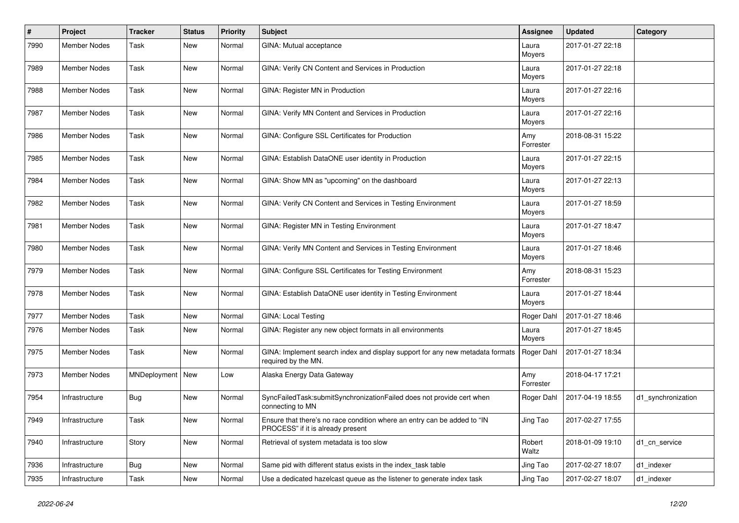| #    | <b>Project</b>      | <b>Tracker</b>     | <b>Status</b> | <b>Priority</b> | <b>Subject</b>                                                                                                | <b>Assignee</b>  | <b>Updated</b>   | Category           |
|------|---------------------|--------------------|---------------|-----------------|---------------------------------------------------------------------------------------------------------------|------------------|------------------|--------------------|
| 7990 | <b>Member Nodes</b> | Task               | New           | Normal          | GINA: Mutual acceptance                                                                                       | Laura<br>Moyers  | 2017-01-27 22:18 |                    |
| 7989 | <b>Member Nodes</b> | <b>Task</b>        | New           | Normal          | GINA: Verify CN Content and Services in Production                                                            | Laura<br>Moyers  | 2017-01-27 22:18 |                    |
| 7988 | Member Nodes        | <b>Task</b>        | New           | Normal          | GINA: Register MN in Production                                                                               | Laura<br>Moyers  | 2017-01-27 22:16 |                    |
| 7987 | Member Nodes        | <b>Task</b>        | New           | Normal          | GINA: Verify MN Content and Services in Production                                                            | Laura<br>Moyers  | 2017-01-27 22:16 |                    |
| 7986 | Member Nodes        | <b>Task</b>        | New           | Normal          | GINA: Configure SSL Certificates for Production                                                               | Amy<br>Forrester | 2018-08-31 15:22 |                    |
| 7985 | Member Nodes        | <b>Task</b>        | New           | Normal          | GINA: Establish DataONE user identity in Production                                                           | Laura<br>Moyers  | 2017-01-27 22:15 |                    |
| 7984 | <b>Member Nodes</b> | <b>Task</b>        | New           | Normal          | GINA: Show MN as "upcoming" on the dashboard                                                                  | Laura<br>Moyers  | 2017-01-27 22:13 |                    |
| 7982 | <b>Member Nodes</b> | <b>Task</b>        | New           | Normal          | GINA: Verify CN Content and Services in Testing Environment                                                   | Laura<br>Moyers  | 2017-01-27 18:59 |                    |
| 7981 | Member Nodes        | Task               | New           | Normal          | GINA: Register MN in Testing Environment                                                                      | Laura<br>Moyers  | 2017-01-27 18:47 |                    |
| 7980 | Member Nodes        | Task               | New           | Normal          | GINA: Verify MN Content and Services in Testing Environment                                                   | Laura<br>Moyers  | 2017-01-27 18:46 |                    |
| 7979 | Member Nodes        | Task               | New           | Normal          | GINA: Configure SSL Certificates for Testing Environment                                                      | Amy<br>Forrester | 2018-08-31 15:23 |                    |
| 7978 | Member Nodes        | <b>Task</b>        | New           | Normal          | GINA: Establish DataONE user identity in Testing Environment                                                  | Laura<br>Moyers  | 2017-01-27 18:44 |                    |
| 7977 | <b>Member Nodes</b> | Task               | New           | Normal          | <b>GINA: Local Testing</b>                                                                                    | Roger Dahl       | 2017-01-27 18:46 |                    |
| 7976 | Member Nodes        | Task               | New           | Normal          | GINA: Register any new object formats in all environments                                                     | Laura<br>Moyers  | 2017-01-27 18:45 |                    |
| 7975 | Member Nodes        | <b>Task</b>        | New           | Normal          | GINA: Implement search index and display support for any new metadata formats<br>required by the MN.          | Roger Dahl       | 2017-01-27 18:34 |                    |
| 7973 | Member Nodes        | MNDeployment   New |               | Low             | Alaska Energy Data Gateway                                                                                    | Amy<br>Forrester | 2018-04-17 17:21 |                    |
| 7954 | Infrastructure      | <b>Bug</b>         | New           | Normal          | SyncFailedTask:submitSynchronizationFailed does not provide cert when<br>connecting to MN                     | Roger Dahl       | 2017-04-19 18:55 | d1 synchronization |
| 7949 | Infrastructure      | Task               | New           | Normal          | Ensure that there's no race condition where an entry can be added to "IN<br>PROCESS" if it is already present | Jing Tao         | 2017-02-27 17:55 |                    |
| 7940 | Infrastructure      | Story              | New           | Normal          | Retrieval of system metadata is too slow                                                                      | Robert<br>Waltz  | 2018-01-09 19:10 | d1 cn service      |
| 7936 | Infrastructure      | <b>Bug</b>         | New           | Normal          | Same pid with different status exists in the index_task table                                                 | Jing Tao         | 2017-02-27 18:07 | d1_indexer         |
| 7935 | Infrastructure      | Task               | New           | Normal          | Use a dedicated hazelcast queue as the listener to generate index task                                        | Jing Tao         | 2017-02-27 18:07 | d1_indexer         |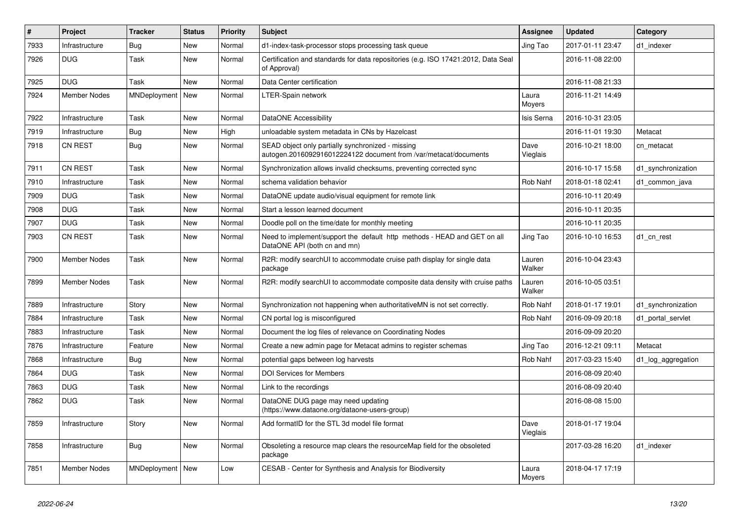| $\#$ | Project             | <b>Tracker</b>     | <b>Status</b> | <b>Priority</b> | <b>Subject</b>                                                                                                        | <b>Assignee</b>  | <b>Updated</b>   | Category           |
|------|---------------------|--------------------|---------------|-----------------|-----------------------------------------------------------------------------------------------------------------------|------------------|------------------|--------------------|
| 7933 | Infrastructure      | Bug                | New           | Normal          | d1-index-task-processor stops processing task queue                                                                   | Jing Tao         | 2017-01-11 23:47 | d1 indexer         |
| 7926 | <b>DUG</b>          | Task               | New           | Normal          | Certification and standards for data repositories (e.g. ISO 17421:2012, Data Seal<br>of Approval)                     |                  | 2016-11-08 22:00 |                    |
| 7925 | <b>DUG</b>          | Task               | New           | Normal          | Data Center certification                                                                                             |                  | 2016-11-08 21:33 |                    |
| 7924 | <b>Member Nodes</b> | MNDeployment   New |               | Normal          | LTER-Spain network                                                                                                    | Laura<br>Moyers  | 2016-11-21 14:49 |                    |
| 7922 | Infrastructure      | Task               | <b>New</b>    | Normal          | DataONE Accessibility                                                                                                 | Isis Serna       | 2016-10-31 23:05 |                    |
| 7919 | Infrastructure      | Bug                | <b>New</b>    | High            | unloadable system metadata in CNs by Hazelcast                                                                        |                  | 2016-11-01 19:30 | Metacat            |
| 7918 | <b>CN REST</b>      | <b>Bug</b>         | <b>New</b>    | Normal          | SEAD object only partially synchronized - missing<br>autogen.2016092916012224122 document from /var/metacat/documents | Dave<br>Vieglais | 2016-10-21 18:00 | cn metacat         |
| 7911 | <b>CN REST</b>      | Task               | New           | Normal          | Synchronization allows invalid checksums, preventing corrected sync                                                   |                  | 2016-10-17 15:58 | d1 synchronization |
| 7910 | Infrastructure      | Task               | New           | Normal          | schema validation behavior                                                                                            | Rob Nahf         | 2018-01-18 02:41 | d1 common java     |
| 7909 | <b>DUG</b>          | Task               | New           | Normal          | DataONE update audio/visual equipment for remote link                                                                 |                  | 2016-10-11 20:49 |                    |
| 7908 | <b>DUG</b>          | Task               | New           | Normal          | Start a lesson learned document                                                                                       |                  | 2016-10-11 20:35 |                    |
| 7907 | <b>DUG</b>          | Task               | New           | Normal          | Doodle poll on the time/date for monthly meeting                                                                      |                  | 2016-10-11 20:35 |                    |
| 7903 | CN REST             | Task               | New           | Normal          | Need to implement/support the default http methods - HEAD and GET on all<br>DataONE API (both cn and mn)              | Jing Tao         | 2016-10-10 16:53 | d1 cn rest         |
| 7900 | <b>Member Nodes</b> | Task               | New           | Normal          | R2R: modify searchUI to accommodate cruise path display for single data<br>package                                    | Lauren<br>Walker | 2016-10-04 23:43 |                    |
| 7899 | <b>Member Nodes</b> | Task               | <b>New</b>    | Normal          | R2R: modify searchUI to accommodate composite data density with cruise paths                                          | Lauren<br>Walker | 2016-10-05 03:51 |                    |
| 7889 | Infrastructure      | Story              | New           | Normal          | Synchronization not happening when authoritative MN is not set correctly.                                             | Rob Nahf         | 2018-01-17 19:01 | d1 synchronization |
| 7884 | Infrastructure      | Task               | New           | Normal          | CN portal log is misconfigured                                                                                        | Rob Nahf         | 2016-09-09 20:18 | d1 portal servlet  |
| 7883 | Infrastructure      | Task               | New           | Normal          | Document the log files of relevance on Coordinating Nodes                                                             |                  | 2016-09-09 20:20 |                    |
| 7876 | Infrastructure      | Feature            | New           | Normal          | Create a new admin page for Metacat admins to register schemas                                                        | Jing Tao         | 2016-12-21 09:11 | Metacat            |
| 7868 | Infrastructure      | <b>Bug</b>         | New           | Normal          | potential gaps between log harvests                                                                                   | Rob Nahf         | 2017-03-23 15:40 | d1_log_aggregation |
| 7864 | <b>DUG</b>          | Task               | New           | Normal          | <b>DOI Services for Members</b>                                                                                       |                  | 2016-08-09 20:40 |                    |
| 7863 | <b>DUG</b>          | Task               | New           | Normal          | Link to the recordings                                                                                                |                  | 2016-08-09 20:40 |                    |
| 7862 | <b>DUG</b>          | Task               | New           | Normal          | DataONE DUG page may need updating<br>(https://www.dataone.org/dataone-users-group)                                   |                  | 2016-08-08 15:00 |                    |
| 7859 | Infrastructure      | Story              | <b>New</b>    | Normal          | Add formatID for the STL 3d model file format                                                                         | Dave<br>Vieglais | 2018-01-17 19:04 |                    |
| 7858 | Infrastructure      | <b>Bug</b>         | New           | Normal          | Obsoleting a resource map clears the resourceMap field for the obsoleted<br>package                                   |                  | 2017-03-28 16:20 | d1 indexer         |
| 7851 | Member Nodes        | MNDeployment   New |               | Low             | CESAB - Center for Synthesis and Analysis for Biodiversity                                                            | Laura<br>Moyers  | 2018-04-17 17:19 |                    |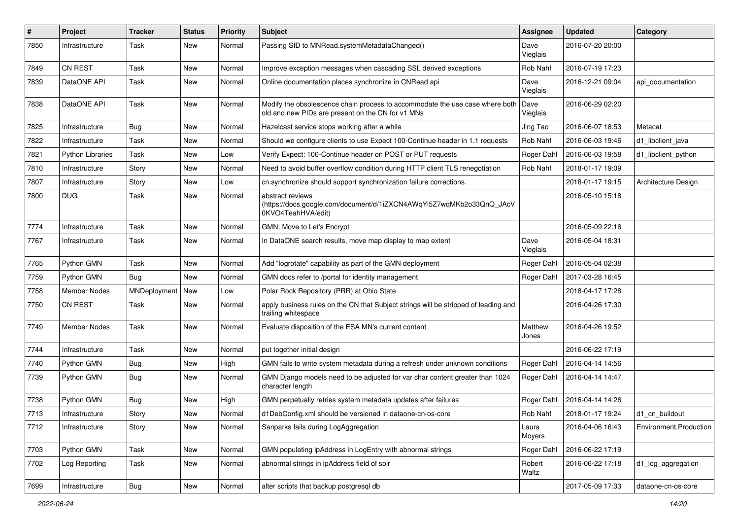| $\pmb{\#}$ | Project                 | <b>Tracker</b> | <b>Status</b> | <b>Priority</b> | Subject                                                                                                                           | <b>Assignee</b>  | <b>Updated</b>   | Category               |
|------------|-------------------------|----------------|---------------|-----------------|-----------------------------------------------------------------------------------------------------------------------------------|------------------|------------------|------------------------|
| 7850       | Infrastructure          | Task           | New           | Normal          | Passing SID to MNRead.systemMetadataChanged()                                                                                     | Dave<br>Vieglais | 2016-07-20 20:00 |                        |
| 7849       | <b>CN REST</b>          | Task           | New           | Normal          | Improve exception messages when cascading SSL derived exceptions                                                                  | Rob Nahf         | 2016-07-19 17:23 |                        |
| 7839       | DataONE API             | Task           | New           | Normal          | Online documentation places synchronize in CNRead api                                                                             | Dave<br>Vieglais | 2016-12-21 09:04 | api documentation      |
| 7838       | DataONE API             | <b>Task</b>    | New           | Normal          | Modify the obsolescence chain process to accommodate the use case where both<br>old and new PIDs are present on the CN for v1 MNs | Dave<br>Vieglais | 2016-06-29 02:20 |                        |
| 7825       | Infrastructure          | <b>Bug</b>     | New           | Normal          | Hazelcast service stops working after a while                                                                                     | Jing Tao         | 2016-06-07 18:53 | Metacat                |
| 7822       | Infrastructure          | Task           | New           | Normal          | Should we configure clients to use Expect 100-Continue header in 1.1 requests                                                     | Rob Nahf         | 2016-06-03 19:46 | d1_libclient_java      |
| 7821       | <b>Python Libraries</b> | <b>Task</b>    | New           | Low             | Verify Expect: 100-Continue header on POST or PUT requests                                                                        | Roger Dahl       | 2016-06-03 19:58 | d1_libclient_python    |
| 7810       | Infrastructure          | Story          | New           | Normal          | Need to avoid buffer overflow condition during HTTP client TLS renegotiation                                                      | Rob Nahf         | 2018-01-17 19:09 |                        |
| 7807       | Infrastructure          | Story          | New           | Low             | cn.synchronize should support synchronization failure corrections.                                                                |                  | 2018-01-17 19:15 | Architecture Design    |
| 7800       | <b>DUG</b>              | <b>Task</b>    | New           | Normal          | abstract reviews<br>(https://docs.google.com/document/d/1iZXCN4AWqYi5Z7wqMKb2o33QnQ_JAcV<br>0KVO4TeahHVA/edit)                    |                  | 2016-05-10 15:18 |                        |
| 7774       | Infrastructure          | <b>Task</b>    | New           | Normal          | GMN: Move to Let's Encrypt                                                                                                        |                  | 2016-05-09 22:16 |                        |
| 7767       | Infrastructure          | Task           | New           | Normal          | In DataONE search results, move map display to map extent                                                                         | Dave<br>Vieglais | 2016-05-04 18:31 |                        |
| 7765       | Python GMN              | Task           | New           | Normal          | Add "logrotate" capability as part of the GMN deployment                                                                          | Roger Dahl       | 2016-05-04 02:38 |                        |
| 7759       | Python GMN              | <b>Bug</b>     | New           | Normal          | GMN docs refer to /portal for identity management                                                                                 | Roger Dahl       | 2017-03-28 16:45 |                        |
| 7758       | Member Nodes            | MNDeployment   | New           | Low             | Polar Rock Repository (PRR) at Ohio State                                                                                         |                  | 2018-04-17 17:28 |                        |
| 7750       | <b>CN REST</b>          | Task           | New           | Normal          | apply business rules on the CN that Subject strings will be stripped of leading and<br>trailing whitespace                        |                  | 2016-04-26 17:30 |                        |
| 7749       | Member Nodes            | <b>Task</b>    | New           | Normal          | Evaluate disposition of the ESA MN's current content                                                                              | Matthew<br>Jones | 2016-04-26 19:52 |                        |
| 7744       | Infrastructure          | Task           | <b>New</b>    | Normal          | put together initial design                                                                                                       |                  | 2016-06-22 17:19 |                        |
| 7740       | Python GMN              | <b>Bug</b>     | New           | High            | GMN fails to write system metadata during a refresh under unknown conditions                                                      | Roger Dahl       | 2016-04-14 14:56 |                        |
| 7739       | Python GMN              | <b>Bug</b>     | New           | Normal          | GMN Django models need to be adjusted for var char content greater than 1024<br>character length                                  | Roger Dahl       | 2016-04-14 14:47 |                        |
| 7738       | Python GMN              | Bug            | New           | High            | GMN perpetually retries system metadata updates after failures                                                                    | Roger Dahl       | 2016-04-14 14:26 |                        |
| 7713       | Infrastructure          | Story          | New           | Normal          | d1DebConfig.xml should be versioned in dataone-cn-os-core                                                                         | Rob Nahf         | 2018-01-17 19:24 | d1 cn buildout         |
| 7712       | Infrastructure          | Story          | New           | Normal          | Sanparks fails during LogAggregation                                                                                              | Laura<br>Moyers  | 2016-04-06 16:43 | Environment.Production |
| 7703       | Python GMN              | Task           | New           | Normal          | GMN populating ipAddress in LogEntry with abnormal strings                                                                        | Roger Dahl       | 2016-06-22 17:19 |                        |
| 7702       | Log Reporting           | Task           | New           | Normal          | abnormal strings in ipAddress field of solr                                                                                       | Robert<br>Waltz  | 2016-06-22 17:18 | d1_log_aggregation     |
| 7699       | Infrastructure          | Bug            | New           | Normal          | alter scripts that backup postgresql db                                                                                           |                  | 2017-05-09 17:33 | dataone-cn-os-core     |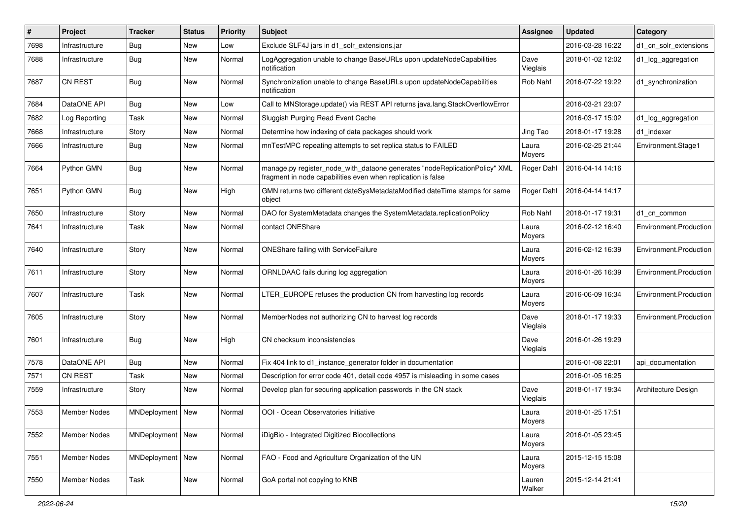| #    | Project             | <b>Tracker</b>     | <b>Status</b> | <b>Priority</b> | <b>Subject</b>                                                                                                                             | Assignee         | <b>Updated</b>   | Category               |
|------|---------------------|--------------------|---------------|-----------------|--------------------------------------------------------------------------------------------------------------------------------------------|------------------|------------------|------------------------|
| 7698 | Infrastructure      | <b>Bug</b>         | New           | Low             | Exclude SLF4J jars in d1_solr_extensions.jar                                                                                               |                  | 2016-03-28 16:22 | d1_cn_solr_extensions  |
| 7688 | Infrastructure      | <b>Bug</b>         | New           | Normal          | LogAggregation unable to change BaseURLs upon updateNodeCapabilities<br>notification                                                       | Dave<br>Vieglais | 2018-01-02 12:02 | d1_log_aggregation     |
| 7687 | <b>CN REST</b>      | Bug                | New           | Normal          | Synchronization unable to change BaseURLs upon updateNodeCapabilities<br>notification                                                      | Rob Nahf         | 2016-07-22 19:22 | d1_synchronization     |
| 7684 | DataONE API         | Bug                | New           | Low             | Call to MNStorage.update() via REST API returns java.lang.StackOverflowError                                                               |                  | 2016-03-21 23:07 |                        |
| 7682 | Log Reporting       | Task               | New           | Normal          | Sluggish Purging Read Event Cache                                                                                                          |                  | 2016-03-17 15:02 | d1_log_aggregation     |
| 7668 | Infrastructure      | Story              | New           | Normal          | Determine how indexing of data packages should work                                                                                        | Jing Tao         | 2018-01-17 19:28 | d1 indexer             |
| 7666 | Infrastructure      | <b>Bug</b>         | New           | Normal          | mnTestMPC repeating attempts to set replica status to FAILED                                                                               | Laura<br>Moyers  | 2016-02-25 21:44 | Environment.Stage1     |
| 7664 | Python GMN          | Bug                | New           | Normal          | manage.py register_node_with_dataone generates "nodeReplicationPolicy" XML<br>fragment in node capabilities even when replication is false | Roger Dahl       | 2016-04-14 14:16 |                        |
| 7651 | Python GMN          | <b>Bug</b>         | <b>New</b>    | High            | GMN returns two different dateSysMetadataModified dateTime stamps for same<br>object                                                       | Roger Dahl       | 2016-04-14 14:17 |                        |
| 7650 | Infrastructure      | Story              | New           | Normal          | DAO for SystemMetadata changes the SystemMetadata.replicationPolicy                                                                        | Rob Nahf         | 2018-01-17 19:31 | d1 cn common           |
| 7641 | Infrastructure      | Task               | New           | Normal          | contact ONEShare                                                                                                                           | Laura<br>Moyers  | 2016-02-12 16:40 | Environment.Production |
| 7640 | Infrastructure      | Story              | New           | Normal          | <b>ONEShare failing with ServiceFailure</b>                                                                                                | Laura<br>Moyers  | 2016-02-12 16:39 | Environment.Production |
| 7611 | Infrastructure      | Story              | New           | Normal          | ORNLDAAC fails during log aggregation                                                                                                      | Laura<br>Moyers  | 2016-01-26 16:39 | Environment.Production |
| 7607 | Infrastructure      | Task               | New           | Normal          | LTER_EUROPE refuses the production CN from harvesting log records                                                                          | Laura<br>Moyers  | 2016-06-09 16:34 | Environment.Production |
| 7605 | Infrastructure      | Story              | New           | Normal          | MemberNodes not authorizing CN to harvest log records                                                                                      | Dave<br>Vieglais | 2018-01-17 19:33 | Environment.Production |
| 7601 | Infrastructure      | Bug                | New           | High            | CN checksum inconsistencies                                                                                                                | Dave<br>Vieglais | 2016-01-26 19:29 |                        |
| 7578 | DataONE API         | Bug                | New           | Normal          | Fix 404 link to d1_instance_generator folder in documentation                                                                              |                  | 2016-01-08 22:01 | api documentation      |
| 7571 | <b>CN REST</b>      | Task               | New           | Normal          | Description for error code 401, detail code 4957 is misleading in some cases                                                               |                  | 2016-01-05 16:25 |                        |
| 7559 | Infrastructure      | Story              | New           | Normal          | Develop plan for securing application passwords in the CN stack                                                                            | Dave<br>Vieglais | 2018-01-17 19:34 | Architecture Design    |
| 7553 | <b>Member Nodes</b> | MNDeployment   New |               | Normal          | OOI - Ocean Observatories Initiative                                                                                                       | Laura<br>Moyers  | 2018-01-25 17:51 |                        |
| 7552 | Member Nodes        | MNDeployment   New |               | Normal          | iDigBio - Integrated Digitized Biocollections                                                                                              | Laura<br>Moyers  | 2016-01-05 23:45 |                        |
| 7551 | <b>Member Nodes</b> | MNDeployment   New |               | Normal          | FAO - Food and Agriculture Organization of the UN                                                                                          | Laura<br>Moyers  | 2015-12-15 15:08 |                        |
| 7550 | Member Nodes        | Task               | New           | Normal          | GoA portal not copying to KNB                                                                                                              | Lauren<br>Walker | 2015-12-14 21:41 |                        |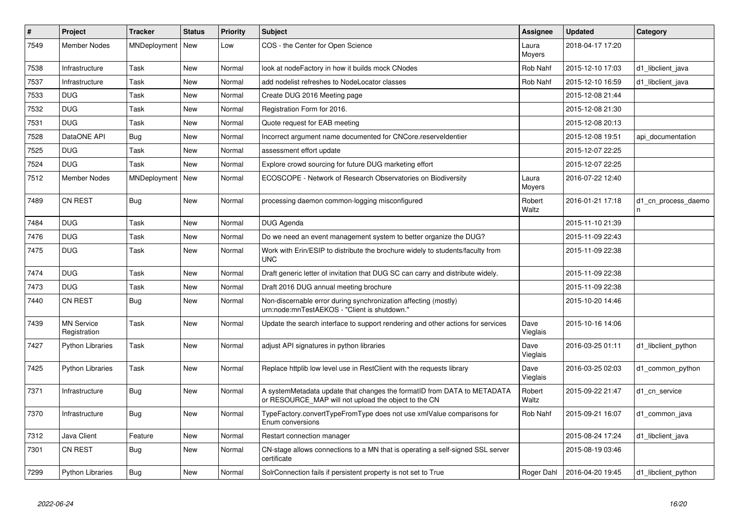| $\#$ | Project                           | <b>Tracker</b>     | <b>Status</b> | <b>Priority</b> | <b>Subject</b>                                                                                                                  | Assignee         | <b>Updated</b>   | Category                 |
|------|-----------------------------------|--------------------|---------------|-----------------|---------------------------------------------------------------------------------------------------------------------------------|------------------|------------------|--------------------------|
| 7549 | Member Nodes                      | MNDeployment   New |               | Low             | COS - the Center for Open Science                                                                                               | Laura<br>Moyers  | 2018-04-17 17:20 |                          |
| 7538 | Infrastructure                    | Task               | <b>New</b>    | Normal          | look at nodeFactory in how it builds mock CNodes                                                                                | Rob Nahf         | 2015-12-10 17:03 | d1_libclient_java        |
| 7537 | Infrastructure                    | Task               | New           | Normal          | add nodelist refreshes to NodeLocator classes                                                                                   | Rob Nahf         | 2015-12-10 16:59 | d1 libclient java        |
| 7533 | <b>DUG</b>                        | Task               | New           | Normal          | Create DUG 2016 Meeting page                                                                                                    |                  | 2015-12-08 21:44 |                          |
| 7532 | <b>DUG</b>                        | Task               | New           | Normal          | Registration Form for 2016.                                                                                                     |                  | 2015-12-08 21:30 |                          |
| 7531 | <b>DUG</b>                        | Task               | New           | Normal          | Quote request for EAB meeting                                                                                                   |                  | 2015-12-08 20:13 |                          |
| 7528 | DataONE API                       | Bug                | New           | Normal          | Incorrect argument name documented for CNCore.reserveldentier                                                                   |                  | 2015-12-08 19:51 | api documentation        |
| 7525 | <b>DUG</b>                        | Task               | New           | Normal          | assessment effort update                                                                                                        |                  | 2015-12-07 22:25 |                          |
| 7524 | <b>DUG</b>                        | Task               | New           | Normal          | Explore crowd sourcing for future DUG marketing effort                                                                          |                  | 2015-12-07 22:25 |                          |
| 7512 | <b>Member Nodes</b>               | MNDeployment       | New           | Normal          | ECOSCOPE - Network of Research Observatories on Biodiversity                                                                    | Laura<br>Moyers  | 2016-07-22 12:40 |                          |
| 7489 | <b>CN REST</b>                    | Bug                | New           | Normal          | processing daemon common-logging misconfigured                                                                                  | Robert<br>Waltz  | 2016-01-21 17:18 | d1 cn process daemo<br>n |
| 7484 | <b>DUG</b>                        | Task               | New           | Normal          | DUG Agenda                                                                                                                      |                  | 2015-11-10 21:39 |                          |
| 7476 | <b>DUG</b>                        | Task               | New           | Normal          | Do we need an event management system to better organize the DUG?                                                               |                  | 2015-11-09 22:43 |                          |
| 7475 | <b>DUG</b>                        | Task               | New           | Normal          | Work with Erin/ESIP to distribute the brochure widely to students/faculty from<br><b>UNC</b>                                    |                  | 2015-11-09 22:38 |                          |
| 7474 | <b>DUG</b>                        | Task               | New           | Normal          | Draft generic letter of invitation that DUG SC can carry and distribute widely.                                                 |                  | 2015-11-09 22:38 |                          |
| 7473 | <b>DUG</b>                        | Task               | New           | Normal          | Draft 2016 DUG annual meeting brochure                                                                                          |                  | 2015-11-09 22:38 |                          |
| 7440 | <b>CN REST</b>                    | <b>Bug</b>         | New           | Normal          | Non-discernable error during synchronization affecting (mostly)<br>urn:node:mnTestAEKOS - "Client is shutdown."                 |                  | 2015-10-20 14:46 |                          |
| 7439 | <b>MN Service</b><br>Registration | Task               | New           | Normal          | Update the search interface to support rendering and other actions for services                                                 | Dave<br>Vieglais | 2015-10-16 14:06 |                          |
| 7427 | <b>Python Libraries</b>           | Task               | New           | Normal          | adjust API signatures in python libraries                                                                                       | Dave<br>Vieglais | 2016-03-25 01:11 | d1 libclient python      |
| 7425 | <b>Python Libraries</b>           | Task               | New           | Normal          | Replace httplib low level use in RestClient with the requests library                                                           | Dave<br>Vieglais | 2016-03-25 02:03 | d1 common python         |
| 7371 | Infrastructure                    | <b>Bug</b>         | <b>New</b>    | Normal          | A systemMetadata update that changes the formatID from DATA to METADATA<br>or RESOURCE_MAP will not upload the object to the CN | Robert<br>Waltz  | 2015-09-22 21:47 | d1 cn service            |
| 7370 | Infrastructure                    | <b>Bug</b>         | <b>New</b>    | Normal          | TypeFactory.convertTypeFromType does not use xmlValue comparisons for<br>Enum conversions                                       | Rob Nahf         | 2015-09-21 16:07 | d1 common java           |
| 7312 | Java Client                       | Feature            | <b>New</b>    | Normal          | Restart connection manager                                                                                                      |                  | 2015-08-24 17:24 | d1_libclient_java        |
| 7301 | <b>CN REST</b>                    | Bug                | New           | Normal          | CN-stage allows connections to a MN that is operating a self-signed SSL server<br>certificate                                   |                  | 2015-08-19 03:46 |                          |
| 7299 | <b>Python Libraries</b>           | Bug                | New           | Normal          | SolrConnection fails if persistent property is not set to True                                                                  | Roger Dahl       | 2016-04-20 19:45 | d1 libclient python      |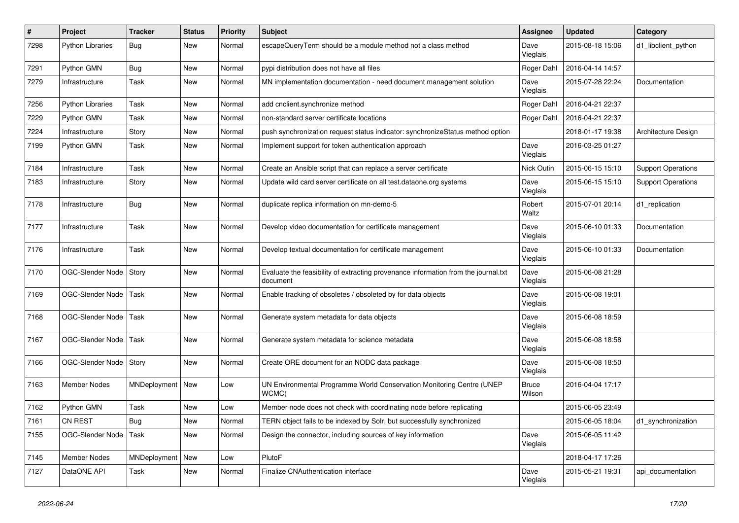| #    | Project                 | <b>Tracker</b>     | <b>Status</b> | <b>Priority</b> | <b>Subject</b>                                                                                 | <b>Assignee</b>        | <b>Updated</b>   | Category                  |
|------|-------------------------|--------------------|---------------|-----------------|------------------------------------------------------------------------------------------------|------------------------|------------------|---------------------------|
| 7298 | <b>Python Libraries</b> | Bug                | New           | Normal          | escapeQueryTerm should be a module method not a class method                                   | Dave<br>Vieglais       | 2015-08-18 15:06 | d1_libclient_python       |
| 7291 | Python GMN              | Bug                | New           | Normal          | pypi distribution does not have all files                                                      | Roger Dahl             | 2016-04-14 14:57 |                           |
| 7279 | Infrastructure          | Task               | New           | Normal          | MN implementation documentation - need document management solution                            | Dave<br>Vieglais       | 2015-07-28 22:24 | Documentation             |
| 7256 | <b>Python Libraries</b> | Task               | New           | Normal          | add cnclient.synchronize method                                                                | Roger Dahl             | 2016-04-21 22:37 |                           |
| 7229 | Python GMN              | Task               | New           | Normal          | non-standard server certificate locations                                                      | Roger Dahl             | 2016-04-21 22:37 |                           |
| 7224 | Infrastructure          | Story              | New           | Normal          | push synchronization request status indicator: synchronizeStatus method option                 |                        | 2018-01-17 19:38 | Architecture Design       |
| 7199 | Python GMN              | Task               | New           | Normal          | Implement support for token authentication approach                                            | Dave<br>Vieglais       | 2016-03-25 01:27 |                           |
| 7184 | Infrastructure          | Task               | New           | Normal          | Create an Ansible script that can replace a server certificate                                 | Nick Outin             | 2015-06-15 15:10 | <b>Support Operations</b> |
| 7183 | Infrastructure          | Story              | New           | Normal          | Update wild card server certificate on all test.dataone.org systems                            | Dave<br>Vieglais       | 2015-06-15 15:10 | <b>Support Operations</b> |
| 7178 | Infrastructure          | <b>Bug</b>         | New           | Normal          | duplicate replica information on mn-demo-5                                                     | Robert<br>Waltz        | 2015-07-01 20:14 | d1_replication            |
| 7177 | Infrastructure          | Task               | New           | Normal          | Develop video documentation for certificate management                                         | Dave<br>Vieglais       | 2015-06-10 01:33 | Documentation             |
| 7176 | Infrastructure          | Task               | New           | Normal          | Develop textual documentation for certificate management                                       | Dave<br>Vieglais       | 2015-06-10 01:33 | Documentation             |
| 7170 | OGC-Slender Node        | Story              | New           | Normal          | Evaluate the feasibility of extracting provenance information from the journal.txt<br>document | Dave<br>Vieglais       | 2015-06-08 21:28 |                           |
| 7169 | OGC-Slender Node        | Task               | New           | Normal          | Enable tracking of obsoletes / obsoleted by for data objects                                   | Dave<br>Vieglais       | 2015-06-08 19:01 |                           |
| 7168 | OGC-Slender Node        | Task               | New           | Normal          | Generate system metadata for data objects                                                      | Dave<br>Vieglais       | 2015-06-08 18:59 |                           |
| 7167 | OGC-Slender Node        | Task               | New           | Normal          | Generate system metadata for science metadata                                                  | Dave<br>Vieglais       | 2015-06-08 18:58 |                           |
| 7166 | OGC-Slender Node        | Story              | New           | Normal          | Create ORE document for an NODC data package                                                   | Dave<br>Vieglais       | 2015-06-08 18:50 |                           |
| 7163 | Member Nodes            | MNDeployment   New |               | Low             | UN Environmental Programme World Conservation Monitoring Centre (UNEP<br>WCMC)                 | <b>Bruce</b><br>Wilson | 2016-04-04 17:17 |                           |
| 7162 | Python GMN              | Task               | New           | Low             | Member node does not check with coordinating node before replicating                           |                        | 2015-06-05 23:49 |                           |
| 7161 | <b>CN REST</b>          | <b>Bug</b>         | New           | Normal          | TERN object fails to be indexed by Solr, but successfully synchronized                         |                        | 2015-06-05 18:04 | d1_synchronization        |
| 7155 | OGC-Slender Node        | Task               | New           | Normal          | Design the connector, including sources of key information                                     | Dave<br>Vieglais       | 2015-06-05 11:42 |                           |
| 7145 | Member Nodes            | MNDeployment   New |               | Low             | PlutoF                                                                                         |                        | 2018-04-17 17:26 |                           |
| 7127 | DataONE API             | Task               | New           | Normal          | Finalize CNAuthentication interface                                                            | Dave<br>Vieglais       | 2015-05-21 19:31 | api_documentation         |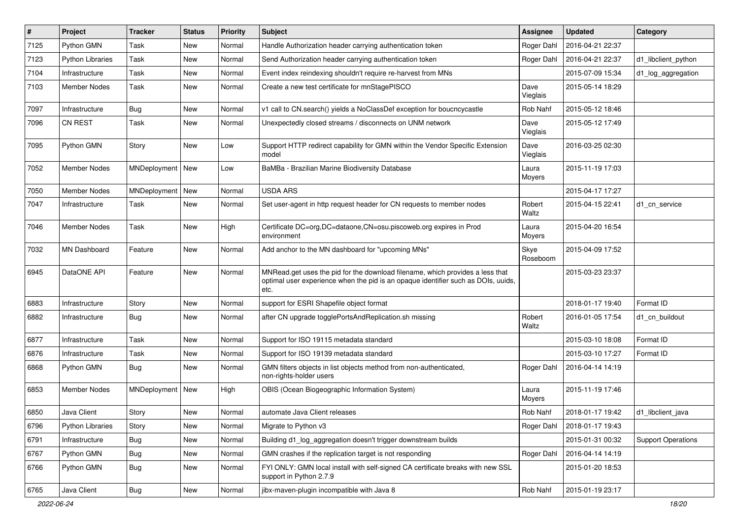| #    | Project                 | <b>Tracker</b>     | <b>Status</b> | <b>Priority</b> | <b>Subject</b>                                                                                                                                                             | Assignee         | <b>Updated</b>   | Category                  |
|------|-------------------------|--------------------|---------------|-----------------|----------------------------------------------------------------------------------------------------------------------------------------------------------------------------|------------------|------------------|---------------------------|
| 7125 | Python GMN              | Task               | New           | Normal          | Handle Authorization header carrying authentication token                                                                                                                  | Roger Dahl       | 2016-04-21 22:37 |                           |
| 7123 | <b>Python Libraries</b> | Task               | New           | Normal          | Send Authorization header carrying authentication token                                                                                                                    | Roger Dahl       | 2016-04-21 22:37 | d1_libclient_python       |
| 7104 | Infrastructure          | Task               | New           | Normal          | Event index reindexing shouldn't require re-harvest from MNs                                                                                                               |                  | 2015-07-09 15:34 | d1_log_aggregation        |
| 7103 | Member Nodes            | Task               | New           | Normal          | Create a new test certificate for mnStagePISCO                                                                                                                             | Dave<br>Vieglais | 2015-05-14 18:29 |                           |
| 7097 | Infrastructure          | Bug                | New           | Normal          | v1 call to CN.search() yields a NoClassDef exception for boucncycastle                                                                                                     | Rob Nahf         | 2015-05-12 18:46 |                           |
| 7096 | <b>CN REST</b>          | Task               | New           | Normal          | Unexpectedly closed streams / disconnects on UNM network                                                                                                                   | Dave<br>Vieglais | 2015-05-12 17:49 |                           |
| 7095 | Python GMN              | Story              | New           | Low             | Support HTTP redirect capability for GMN within the Vendor Specific Extension<br>model                                                                                     | Dave<br>Vieglais | 2016-03-25 02:30 |                           |
| 7052 | Member Nodes            | MNDeployment   New |               | Low             | BaMBa - Brazilian Marine Biodiversity Database                                                                                                                             | Laura<br>Moyers  | 2015-11-19 17:03 |                           |
| 7050 | <b>Member Nodes</b>     | MNDeployment       | New           | Normal          | <b>USDA ARS</b>                                                                                                                                                            |                  | 2015-04-17 17:27 |                           |
| 7047 | Infrastructure          | Task               | New           | Normal          | Set user-agent in http request header for CN requests to member nodes                                                                                                      | Robert<br>Waltz  | 2015-04-15 22:41 | d1_cn_service             |
| 7046 | <b>Member Nodes</b>     | Task               | New           | High            | Certificate DC=org, DC=dataone, CN=osu.piscoweb.org expires in Prod<br>environment                                                                                         | Laura<br>Moyers  | 2015-04-20 16:54 |                           |
| 7032 | <b>MN Dashboard</b>     | Feature            | New           | Normal          | Add anchor to the MN dashboard for "upcoming MNs"                                                                                                                          | Skye<br>Roseboom | 2015-04-09 17:52 |                           |
| 6945 | DataONE API             | Feature            | New           | Normal          | MNRead.get uses the pid for the download filename, which provides a less that<br>optimal user experience when the pid is an opaque identifier such as DOIs, uuids,<br>etc. |                  | 2015-03-23 23:37 |                           |
| 6883 | Infrastructure          | Story              | New           | Normal          | support for ESRI Shapefile object format                                                                                                                                   |                  | 2018-01-17 19:40 | Format ID                 |
| 6882 | Infrastructure          | Bug                | New           | Normal          | after CN upgrade togglePortsAndReplication.sh missing                                                                                                                      | Robert<br>Waltz  | 2016-01-05 17:54 | d1 cn buildout            |
| 6877 | Infrastructure          | Task               | New           | Normal          | Support for ISO 19115 metadata standard                                                                                                                                    |                  | 2015-03-10 18:08 | Format ID                 |
| 6876 | Infrastructure          | Task               | New           | Normal          | Support for ISO 19139 metadata standard                                                                                                                                    |                  | 2015-03-10 17:27 | Format ID                 |
| 6868 | Python GMN              | Bug                | New           | Normal          | GMN filters objects in list objects method from non-authenticated,<br>non-rights-holder users                                                                              | Roger Dahl       | 2016-04-14 14:19 |                           |
| 6853 | <b>Member Nodes</b>     | MNDeployment   New |               | High            | OBIS (Ocean Biogeographic Information System)                                                                                                                              | Laura<br>Moyers  | 2015-11-19 17:46 |                           |
| 6850 | Java Client             | Story              | New           | Normal          | automate Java Client releases                                                                                                                                              | Rob Nahf         | 2018-01-17 19:42 | d1_libclient_java         |
| 6796 | <b>Python Libraries</b> | Story              | New           | Normal          | Migrate to Python v3                                                                                                                                                       | Roger Dahl       | 2018-01-17 19:43 |                           |
| 6791 | Infrastructure          | <b>Bug</b>         | New           | Normal          | Building d1_log_aggregation doesn't trigger downstream builds                                                                                                              |                  | 2015-01-31 00:32 | <b>Support Operations</b> |
| 6767 | Python GMN              | Bug                | New           | Normal          | GMN crashes if the replication target is not responding                                                                                                                    | Roger Dahl       | 2016-04-14 14:19 |                           |
| 6766 | Python GMN              | Bug                | New           | Normal          | FYI ONLY: GMN local install with self-signed CA certificate breaks with new SSL<br>support in Python 2.7.9                                                                 |                  | 2015-01-20 18:53 |                           |
| 6765 | Java Client             | Bug                | New           | Normal          | jibx-maven-plugin incompatible with Java 8                                                                                                                                 | Rob Nahf         | 2015-01-19 23:17 |                           |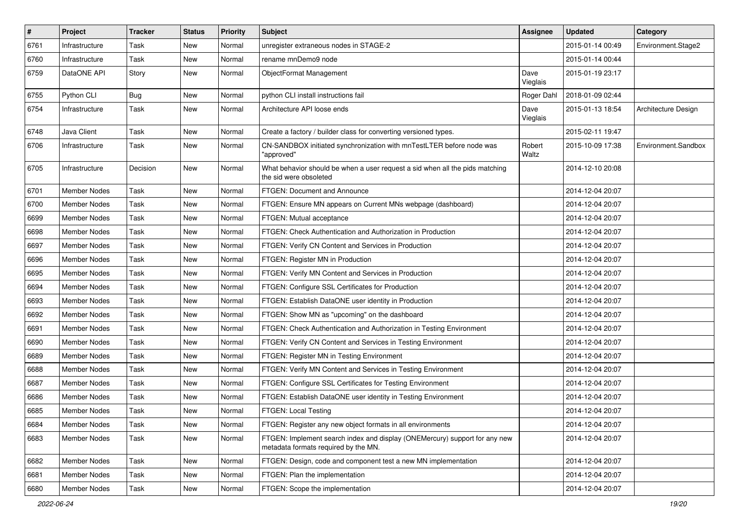| #    | <b>Project</b>      | <b>Tracker</b> | <b>Status</b> | <b>Priority</b> | <b>Subject</b>                                                                                                     | <b>Assignee</b>  | <b>Updated</b>   | Category            |
|------|---------------------|----------------|---------------|-----------------|--------------------------------------------------------------------------------------------------------------------|------------------|------------------|---------------------|
| 6761 | Infrastructure      | Task           | New           | Normal          | unregister extraneous nodes in STAGE-2                                                                             |                  | 2015-01-14 00:49 | Environment.Stage2  |
| 6760 | Infrastructure      | Task           | New           | Normal          | rename mnDemo9 node                                                                                                |                  | 2015-01-14 00:44 |                     |
| 6759 | DataONE API         | Story          | New           | Normal          | ObjectFormat Management                                                                                            | Dave<br>Vieglais | 2015-01-19 23:17 |                     |
| 6755 | Python CLI          | Bug            | New           | Normal          | python CLI install instructions fail                                                                               | Roger Dahl       | 2018-01-09 02:44 |                     |
| 6754 | Infrastructure      | Task           | New           | Normal          | Architecture API loose ends                                                                                        | Dave<br>Vieglais | 2015-01-13 18:54 | Architecture Design |
| 6748 | Java Client         | Task           | New           | Normal          | Create a factory / builder class for converting versioned types.                                                   |                  | 2015-02-11 19:47 |                     |
| 6706 | Infrastructure      | Task           | New           | Normal          | CN-SANDBOX initiated synchronization with mnTestLTER before node was<br>"approved"                                 | Robert<br>Waltz  | 2015-10-09 17:38 | Environment.Sandbox |
| 6705 | Infrastructure      | Decision       | New           | Normal          | What behavior should be when a user request a sid when all the pids matching<br>the sid were obsoleted             |                  | 2014-12-10 20:08 |                     |
| 6701 | Member Nodes        | Task           | New           | Normal          | FTGEN: Document and Announce                                                                                       |                  | 2014-12-04 20:07 |                     |
| 6700 | Member Nodes        | Task           | New           | Normal          | FTGEN: Ensure MN appears on Current MNs webpage (dashboard)                                                        |                  | 2014-12-04 20:07 |                     |
| 6699 | Member Nodes        | Task           | New           | Normal          | FTGEN: Mutual acceptance                                                                                           |                  | 2014-12-04 20:07 |                     |
| 6698 | <b>Member Nodes</b> | Task           | New           | Normal          | FTGEN: Check Authentication and Authorization in Production                                                        |                  | 2014-12-04 20:07 |                     |
| 6697 | <b>Member Nodes</b> | Task           | New           | Normal          | FTGEN: Verify CN Content and Services in Production                                                                |                  | 2014-12-04 20:07 |                     |
| 6696 | Member Nodes        | Task           | New           | Normal          | FTGEN: Register MN in Production                                                                                   |                  | 2014-12-04 20:07 |                     |
| 6695 | <b>Member Nodes</b> | Task           | New           | Normal          | FTGEN: Verify MN Content and Services in Production                                                                |                  | 2014-12-04 20:07 |                     |
| 6694 | Member Nodes        | Task           | New           | Normal          | FTGEN: Configure SSL Certificates for Production                                                                   |                  | 2014-12-04 20:07 |                     |
| 6693 | Member Nodes        | Task           | New           | Normal          | FTGEN: Establish DataONE user identity in Production                                                               |                  | 2014-12-04 20:07 |                     |
| 6692 | <b>Member Nodes</b> | Task           | New           | Normal          | FTGEN: Show MN as "upcoming" on the dashboard                                                                      |                  | 2014-12-04 20:07 |                     |
| 6691 | <b>Member Nodes</b> | Task           | New           | Normal          | FTGEN: Check Authentication and Authorization in Testing Environment                                               |                  | 2014-12-04 20:07 |                     |
| 6690 | <b>Member Nodes</b> | Task           | New           | Normal          | FTGEN: Verify CN Content and Services in Testing Environment                                                       |                  | 2014-12-04 20:07 |                     |
| 6689 | <b>Member Nodes</b> | Task           | New           | Normal          | FTGEN: Register MN in Testing Environment                                                                          |                  | 2014-12-04 20:07 |                     |
| 6688 | <b>Member Nodes</b> | Task           | New           | Normal          | FTGEN: Verify MN Content and Services in Testing Environment                                                       |                  | 2014-12-04 20:07 |                     |
| 6687 | <b>Member Nodes</b> | Task           | New           | Normal          | FTGEN: Configure SSL Certificates for Testing Environment                                                          |                  | 2014-12-04 20:07 |                     |
| 6686 | <b>Member Nodes</b> | Task           | New           | Normal          | FTGEN: Establish DataONE user identity in Testing Environment                                                      |                  | 2014-12-04 20:07 |                     |
| 6685 | <b>Member Nodes</b> | Task           | New           | Normal          | FTGEN: Local Testing                                                                                               |                  | 2014-12-04 20:07 |                     |
| 6684 | Member Nodes        | Task           | New           | Normal          | FTGEN: Register any new object formats in all environments                                                         |                  | 2014-12-04 20:07 |                     |
| 6683 | Member Nodes        | Task           | New           | Normal          | FTGEN: Implement search index and display (ONEMercury) support for any new<br>metadata formats required by the MN. |                  | 2014-12-04 20:07 |                     |
| 6682 | Member Nodes        | Task           | New           | Normal          | FTGEN: Design, code and component test a new MN implementation                                                     |                  | 2014-12-04 20:07 |                     |
| 6681 | Member Nodes        | Task           | New           | Normal          | FTGEN: Plan the implementation                                                                                     |                  | 2014-12-04 20:07 |                     |
| 6680 | Member Nodes        | Task           | New           | Normal          | FTGEN: Scope the implementation                                                                                    |                  | 2014-12-04 20:07 |                     |